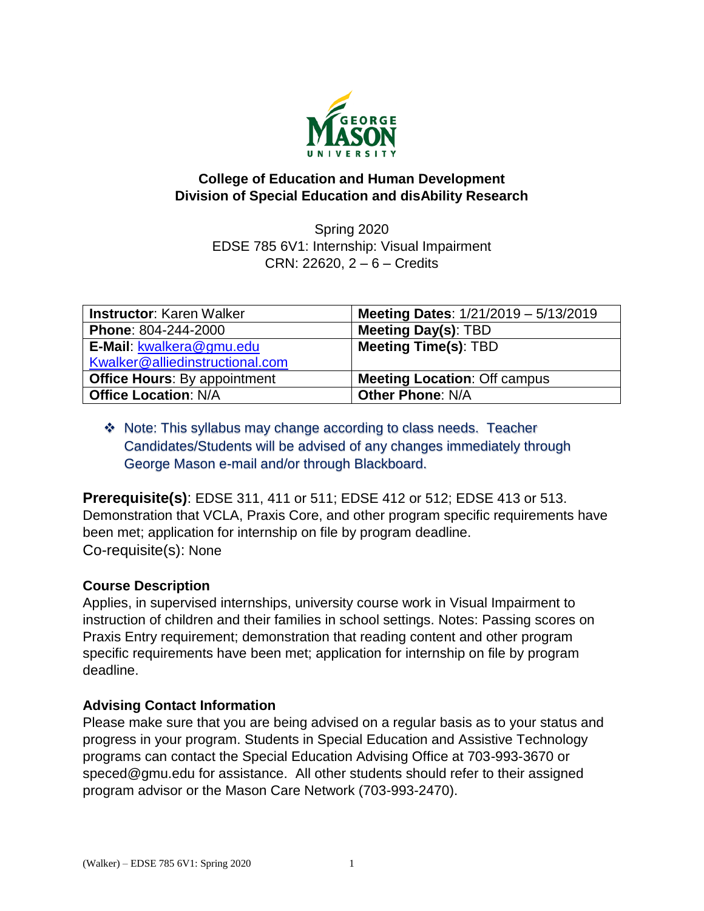

### **College of Education and Human Development Division of Special Education and disAbility Research**

Spring 2020 EDSE 785 6V1: Internship: Visual Impairment CRN: 22620, 2 – 6 – Credits

| <b>Instructor: Karen Walker</b>     | Meeting Dates: 1/21/2019 - 5/13/2019 |
|-------------------------------------|--------------------------------------|
| <b>Phone: 804-244-2000</b>          | <b>Meeting Day(s): TBD</b>           |
| E-Mail: kwalkera@gmu.edu            | <b>Meeting Time(s): TBD</b>          |
| Kwalker@alliedinstructional.com     |                                      |
| <b>Office Hours: By appointment</b> | <b>Meeting Location: Off campus</b>  |
| <b>Office Location: N/A</b>         | <b>Other Phone: N/A</b>              |

# Note: This syllabus may change according to class needs. Teacher Candidates/Students will be advised of any changes immediately through George Mason e-mail and/or through Blackboard.

**Prerequisite(s)**: EDSE 311, 411 or 511; EDSE 412 or 512; EDSE 413 or 513. Demonstration that VCLA, Praxis Core, and other program specific requirements have been met; application for internship on file by program deadline. Co-requisite(s): None

# **Course Description**

Applies, in supervised internships, university course work in Visual Impairment to instruction of children and their families in school settings. Notes: Passing scores on Praxis Entry requirement; demonstration that reading content and other program specific requirements have been met; application for internship on file by program deadline.

# **Advising Contact Information**

Please make sure that you are being advised on a regular basis as to your status and progress in your program. Students in Special Education and Assistive Technology programs can contact the Special Education Advising Office at 703-993-3670 or [speced@gmu.edu](mailto:speced@gmu.edu) for assistance. All other students should refer to their assigned program advisor or the Mason Care Network (703-993-2470).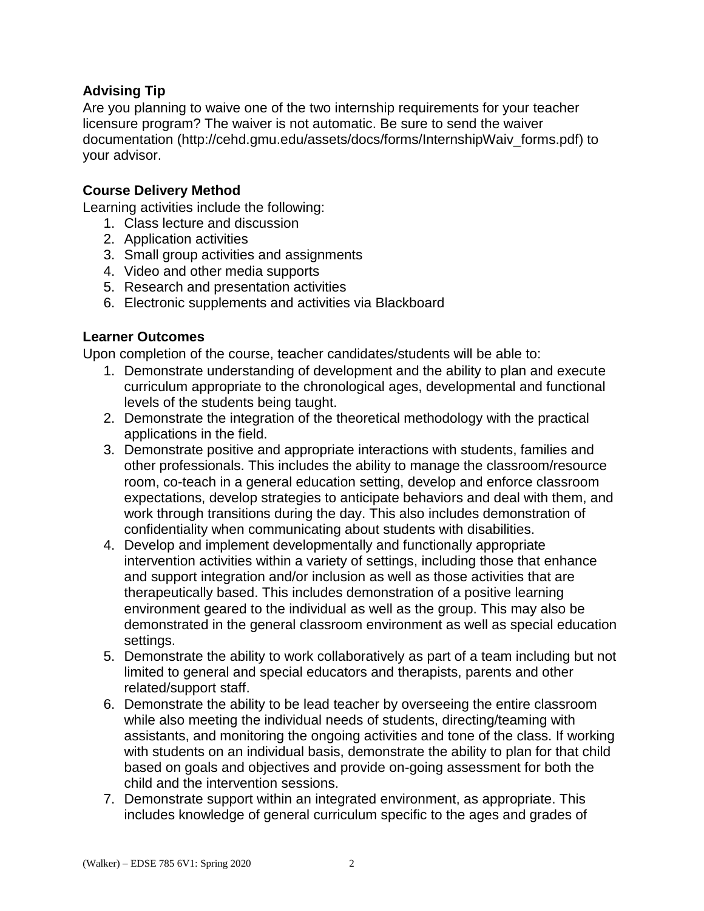# **Advising Tip**

Are you planning to waive one of the two internship requirements for your teacher licensure program? The waiver is not automatic. Be sure to send the waiver documentation (http://cehd.gmu.edu/assets/docs/forms/InternshipWaiv\_forms.pdf) to your advisor.

# **Course Delivery Method**

Learning activities include the following:

- 1. Class lecture and discussion
- 2. Application activities
- 3. Small group activities and assignments
- 4. Video and other media supports
- 5. Research and presentation activities
- 6. Electronic supplements and activities via Blackboard

# **Learner Outcomes**

Upon completion of the course, teacher candidates/students will be able to:

- 1. Demonstrate understanding of development and the ability to plan and execute curriculum appropriate to the chronological ages, developmental and functional levels of the students being taught.
- 2. Demonstrate the integration of the theoretical methodology with the practical applications in the field.
- 3. Demonstrate positive and appropriate interactions with students, families and other professionals. This includes the ability to manage the classroom/resource room, co-teach in a general education setting, develop and enforce classroom expectations, develop strategies to anticipate behaviors and deal with them, and work through transitions during the day. This also includes demonstration of confidentiality when communicating about students with disabilities.
- 4. Develop and implement developmentally and functionally appropriate intervention activities within a variety of settings, including those that enhance and support integration and/or inclusion as well as those activities that are therapeutically based. This includes demonstration of a positive learning environment geared to the individual as well as the group. This may also be demonstrated in the general classroom environment as well as special education settings.
- 5. Demonstrate the ability to work collaboratively as part of a team including but not limited to general and special educators and therapists, parents and other related/support staff.
- 6. Demonstrate the ability to be lead teacher by overseeing the entire classroom while also meeting the individual needs of students, directing/teaming with assistants, and monitoring the ongoing activities and tone of the class. If working with students on an individual basis, demonstrate the ability to plan for that child based on goals and objectives and provide on-going assessment for both the child and the intervention sessions.
- 7. Demonstrate support within an integrated environment, as appropriate. This includes knowledge of general curriculum specific to the ages and grades of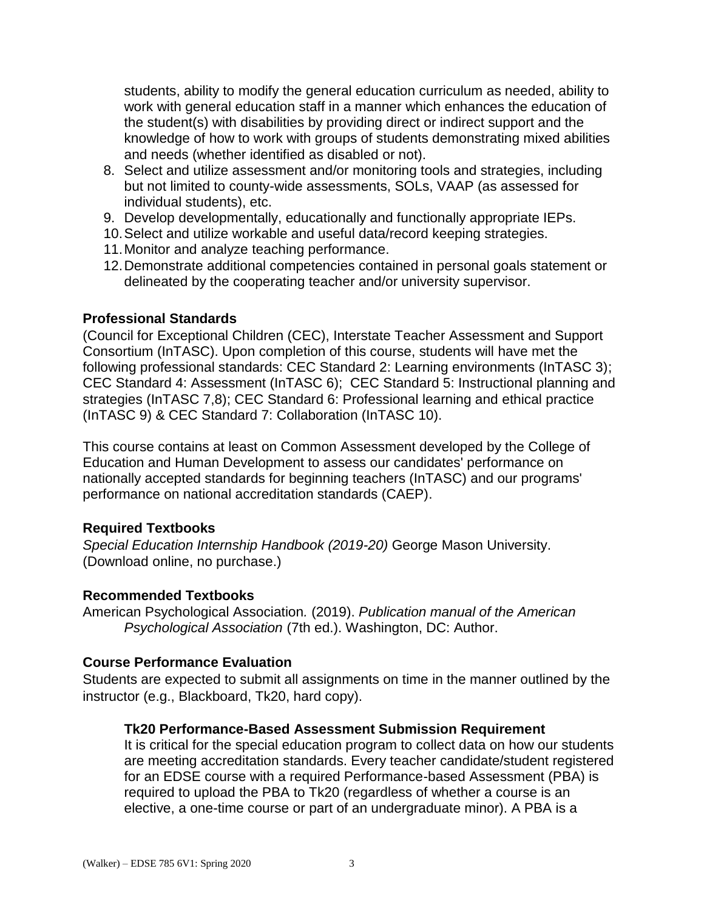students, ability to modify the general education curriculum as needed, ability to work with general education staff in a manner which enhances the education of the student(s) with disabilities by providing direct or indirect support and the knowledge of how to work with groups of students demonstrating mixed abilities and needs (whether identified as disabled or not).

- 8. Select and utilize assessment and/or monitoring tools and strategies, including but not limited to county-wide assessments, SOLs, VAAP (as assessed for individual students), etc.
- 9. Develop developmentally, educationally and functionally appropriate IEPs.
- 10.Select and utilize workable and useful data/record keeping strategies.
- 11.Monitor and analyze teaching performance.
- 12.Demonstrate additional competencies contained in personal goals statement or delineated by the cooperating teacher and/or university supervisor.

#### **Professional Standards**

(Council for Exceptional Children (CEC), Interstate Teacher Assessment and Support Consortium (InTASC). Upon completion of this course, students will have met the following professional standards: CEC Standard 2: Learning environments (InTASC 3); CEC Standard 4: Assessment (InTASC 6); CEC Standard 5: Instructional planning and strategies (InTASC 7,8); CEC Standard 6: Professional learning and ethical practice (InTASC 9) & CEC Standard 7: Collaboration (InTASC 10).

This course contains at least on Common Assessment developed by the College of Education and Human Development to assess our candidates' performance on nationally accepted standards for beginning teachers (InTASC) and our programs' performance on national accreditation standards (CAEP).

### **Required Textbooks**

*Special Education Internship Handbook (2019-20)* George Mason University. (Download online, no purchase.)

### **Recommended Textbooks**

American Psychological Association*.* (2019). *Publication manual of the American Psychological Association* (7th ed.). Washington, DC: Author.

#### **Course Performance Evaluation**

Students are expected to submit all assignments on time in the manner outlined by the instructor (e.g., Blackboard, Tk20, hard copy).

#### **Tk20 Performance-Based Assessment Submission Requirement**

It is critical for the special education program to collect data on how our students are meeting accreditation standards. Every teacher candidate/student registered for an EDSE course with a required Performance-based Assessment (PBA) is required to upload the PBA to Tk20 (regardless of whether a course is an elective, a one-time course or part of an undergraduate minor). A PBA is a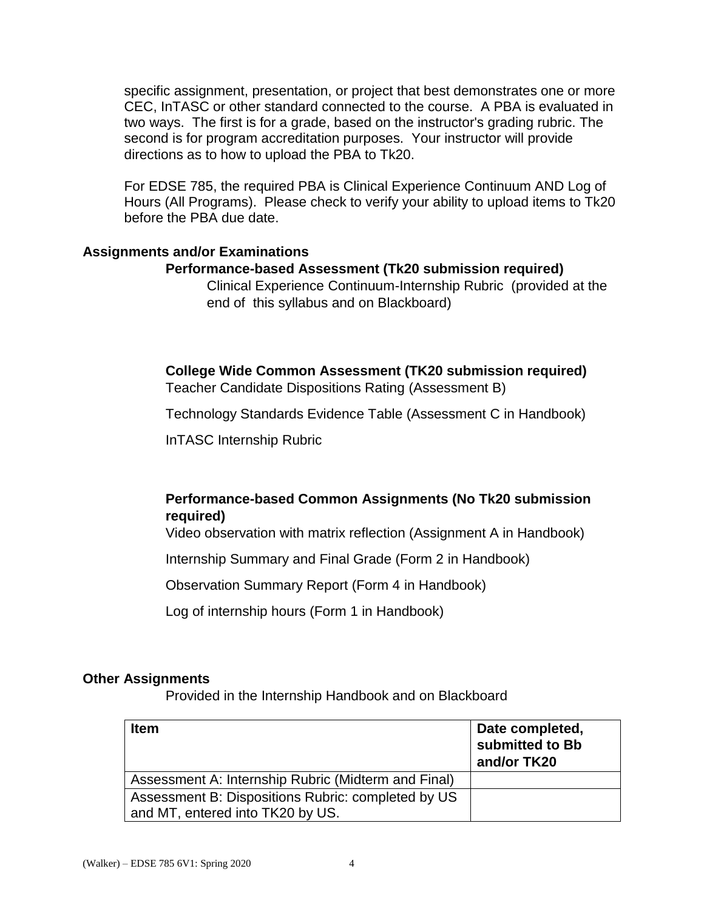specific assignment, presentation, or project that best demonstrates one or more CEC, InTASC or other standard connected to the course. A PBA is evaluated in two ways. The first is for a grade, based on the instructor's grading rubric. The second is for program accreditation purposes. Your instructor will provide directions as to how to upload the PBA to Tk20.

For EDSE 785, the required PBA is Clinical Experience Continuum AND Log of Hours (All Programs). Please check to verify your ability to upload items to Tk20 before the PBA due date.

#### **Assignments and/or Examinations**

#### **Performance-based Assessment (Tk20 submission required)**

Clinical Experience Continuum-Internship Rubric (provided at the end of this syllabus and on Blackboard)

**College Wide Common Assessment (TK20 submission required)** Teacher Candidate Dispositions Rating (Assessment B)

Technology Standards Evidence Table (Assessment C in Handbook)

InTASC Internship Rubric

# **Performance-based Common Assignments (No Tk20 submission required)**

Video observation with matrix reflection (Assignment A in Handbook)

Internship Summary and Final Grade (Form 2 in Handbook)

Observation Summary Report (Form 4 in Handbook)

Log of internship hours (Form 1 in Handbook)

#### **Other Assignments**

Provided in the Internship Handbook and on Blackboard

| <b>Item</b>                                                                            | Date completed,<br>submitted to Bb<br>and/or TK20 |
|----------------------------------------------------------------------------------------|---------------------------------------------------|
| Assessment A: Internship Rubric (Midterm and Final)                                    |                                                   |
| Assessment B: Dispositions Rubric: completed by US<br>and MT, entered into TK20 by US. |                                                   |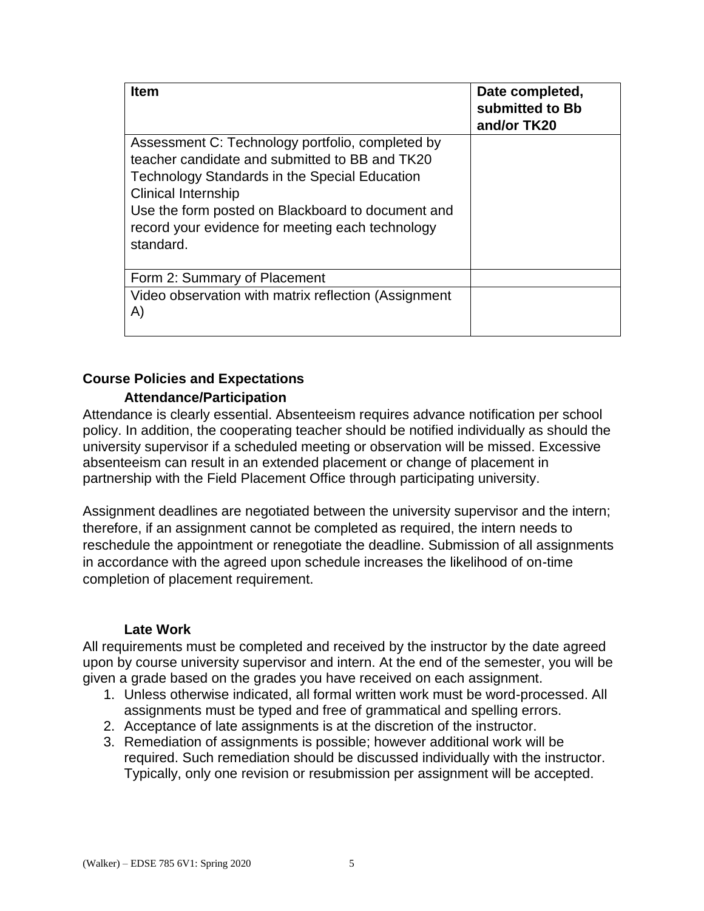| <b>Item</b>                                          | Date completed,<br>submitted to Bb<br>and/or TK20 |
|------------------------------------------------------|---------------------------------------------------|
| Assessment C: Technology portfolio, completed by     |                                                   |
| teacher candidate and submitted to BB and TK20       |                                                   |
| <b>Technology Standards in the Special Education</b> |                                                   |
| <b>Clinical Internship</b>                           |                                                   |
| Use the form posted on Blackboard to document and    |                                                   |
| record your evidence for meeting each technology     |                                                   |
| standard.                                            |                                                   |
|                                                      |                                                   |
| Form 2: Summary of Placement                         |                                                   |
| Video observation with matrix reflection (Assignment |                                                   |
| A)                                                   |                                                   |
|                                                      |                                                   |

### **Course Policies and Expectations**

### **Attendance/Participation**

Attendance is clearly essential. Absenteeism requires advance notification per school policy. In addition, the cooperating teacher should be notified individually as should the university supervisor if a scheduled meeting or observation will be missed. Excessive absenteeism can result in an extended placement or change of placement in partnership with the Field Placement Office through participating university.

Assignment deadlines are negotiated between the university supervisor and the intern; therefore, if an assignment cannot be completed as required, the intern needs to reschedule the appointment or renegotiate the deadline. Submission of all assignments in accordance with the agreed upon schedule increases the likelihood of on-time completion of placement requirement.

#### **Late Work**

All requirements must be completed and received by the instructor by the date agreed upon by course university supervisor and intern. At the end of the semester, you will be given a grade based on the grades you have received on each assignment.

- 1. Unless otherwise indicated, all formal written work must be word-processed. All assignments must be typed and free of grammatical and spelling errors.
- 2. Acceptance of late assignments is at the discretion of the instructor.
- 3. Remediation of assignments is possible; however additional work will be required. Such remediation should be discussed individually with the instructor. Typically, only one revision or resubmission per assignment will be accepted.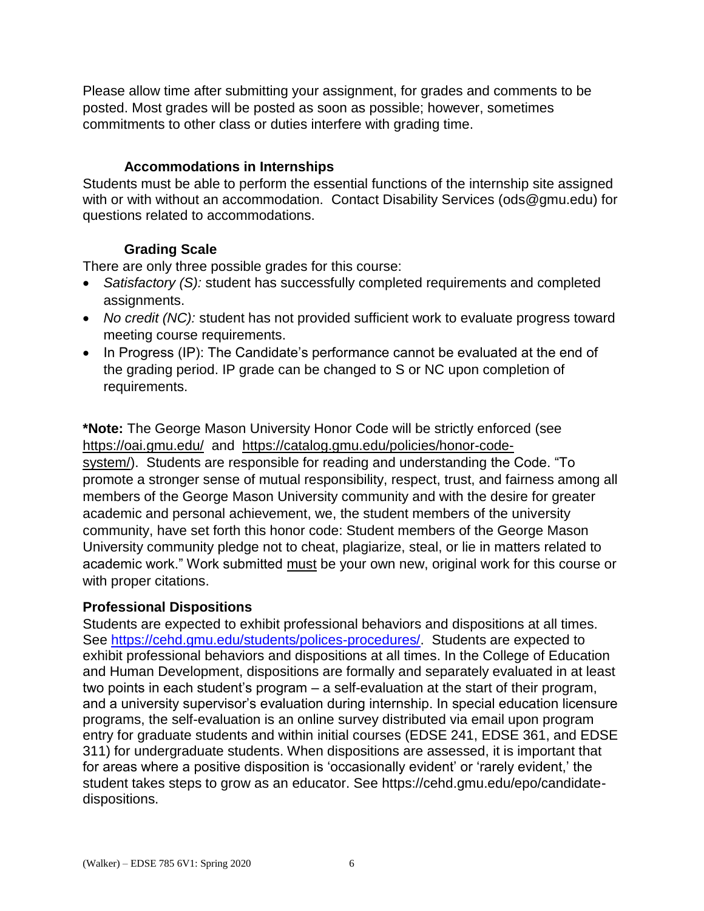Please allow time after submitting your assignment, for grades and comments to be posted. Most grades will be posted as soon as possible; however, sometimes commitments to other class or duties interfere with grading time.

### **Accommodations in Internships**

Students must be able to perform the essential functions of the internship site assigned with or with without an accommodation. Contact Disability Services [\(ods@gmu.edu\)](mailto:ods@gmu.edu) for questions related to accommodations.

### **Grading Scale**

There are only three possible grades for this course:

- *Satisfactory (S):* student has successfully completed requirements and completed assignments.
- No credit (NC): student has not provided sufficient work to evaluate progress toward meeting course requirements.
- In Progress (IP): The Candidate's performance cannot be evaluated at the end of the grading period. IP grade can be changed to S or NC upon completion of requirements.

**\*Note:** The George Mason University Honor Code will be strictly enforced (see <https://oai.gmu.edu/> and [https://catalog.gmu.edu/policies/honor-code-](https://catalog.gmu.edu/policies/honor-code-system/)

[system/\)](https://catalog.gmu.edu/policies/honor-code-system/). Students are responsible for reading and understanding the Code. "To promote a stronger sense of mutual responsibility, respect, trust, and fairness among all members of the George Mason University community and with the desire for greater academic and personal achievement, we, the student members of the university community, have set forth this honor code: Student members of the George Mason University community pledge not to cheat, plagiarize, steal, or lie in matters related to academic work." Work submitted must be your own new, original work for this course or with proper citations.

# **Professional Dispositions**

Students are expected to exhibit professional behaviors and dispositions at all times. See [https://cehd.gmu.edu/students/polices-procedures/.](https://cehd.gmu.edu/students/polices-procedures/) Students are expected to exhibit professional behaviors and dispositions at all times. In the College of Education and Human Development, dispositions are formally and separately evaluated in at least two points in each student's program – a self-evaluation at the start of their program, and a university supervisor's evaluation during internship. In special education licensure programs, the self-evaluation is an online survey distributed via email upon program entry for graduate students and within initial courses (EDSE 241, EDSE 361, and EDSE 311) for undergraduate students. When dispositions are assessed, it is important that for areas where a positive disposition is 'occasionally evident' or 'rarely evident,' the student takes steps to grow as an educator. See https://cehd.gmu.edu/epo/candidatedispositions.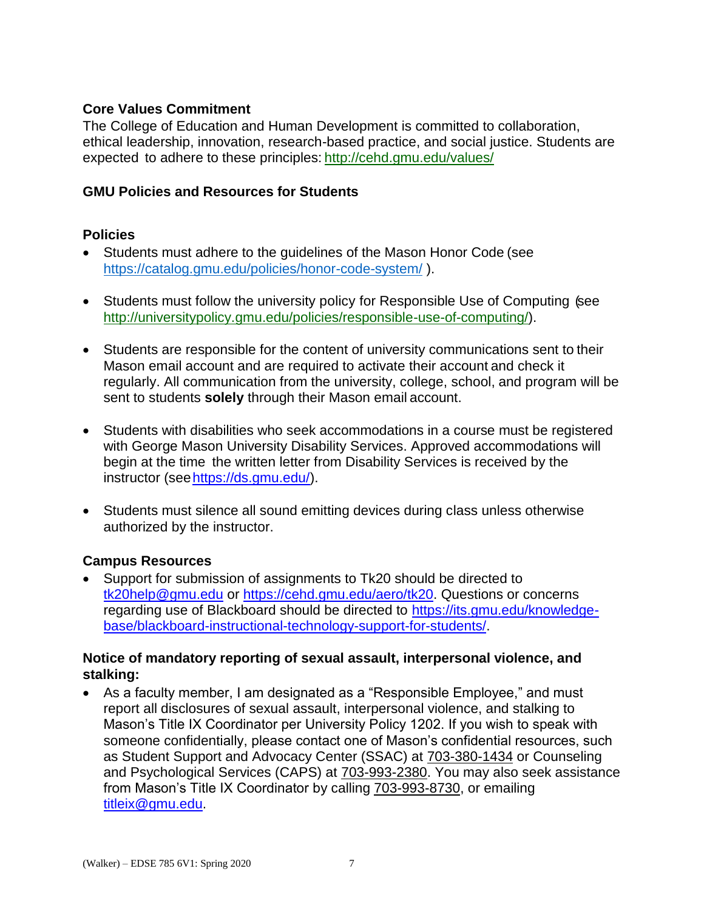# **Core Values Commitment**

The College of Education and Human Development is committed to collaboration, ethical leadership, innovation, research-based practice, and social justice. Students are expected to adhere to these principles: <http://cehd.gmu.edu/values/>

# **GMU Policies and Resources for Students**

# **Policies**

- Students must adhere to the guidelines of the Mason Honor Code (see <https://catalog.gmu.edu/policies/honor-code-system/> ).
- Students must follow the university policy for Responsible Use of Computing (see [http://universitypolicy.gmu.edu/policies/responsible-use-of-computing/\)](http://universitypolicy.gmu.edu/policies/responsible-use-of-computing/).
- Students are responsible for the content of university communications sent to their Mason email account and are required to activate their account and check it regularly. All communication from the university, college, school, and program will be sent to students **solely** through their Mason email account.
- Students with disabilities who seek accommodations in a course must be registered with George Mason University Disability Services. Approved accommodations will begin at the time the written letter from Disability Services is received by the instructor (se[ehttps://ds.gmu.edu/\)](https://ds.gmu.edu/).
- Students must silence all sound emitting devices during class unless otherwise authorized by the instructor.

# **Campus Resources**

 Support for submission of assignments to Tk20 should be directed to [tk20help@gmu.edu](mailto:tk20help@gmu.edu) or [https://cehd.gmu.edu/aero/tk20.](https://cehd.gmu.edu/aero/tk20/) Questions or concerns regarding use of Blackboard should be directed to [https://its.gmu.edu/knowledge](https://its.gmu.edu/knowledge-base/blackboard-instructional-technology-support-for-students/)[base/blackboard-instructional-technology-support-for-students/.](https://its.gmu.edu/knowledge-base/blackboard-instructional-technology-support-for-students/)

### **Notice of mandatory reporting of sexual assault, interpersonal violence, and stalking:**

 As a faculty member, I am designated as a "Responsible Employee," and must report all disclosures of sexual assault, interpersonal violence, and stalking to Mason's Title IX Coordinator per University Policy 1202. If you wish to speak with someone confidentially, please contact one of Mason's confidential resources, such as Student Support and Advocacy Center (SSAC) at 703-380-1434 or Counseling and Psychological Services (CAPS) at 703-993-2380. You may also seek assistance from Mason's Title IX Coordinator by calling 703-993-8730, or emailing [titleix@gmu.edu.](mailto:titleix@gmu.edu)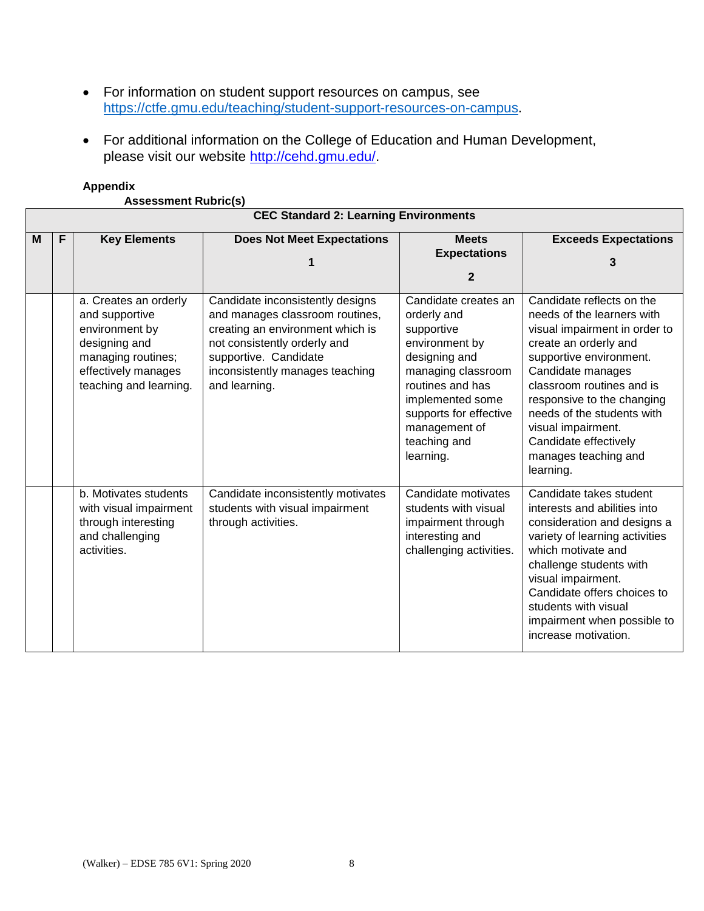- For information on student support resources on campus, see [https://ctfe.gmu.edu/teaching/student-support-resources-on-campus.](https://ctfe.gmu.edu/teaching/student-support-resources-on-campus)
- For additional information on the College of Education and Human Development, please visit our website [http://cehd.gmu.edu/.](https://cehd.gmu.edu/)

#### **Appendix**

**Assessment Rubric(s)**

|   | <b>CEC Standard 2: Learning Environments</b> |                                                                                                                                                   |                                                                                                                                                                                                                      |                                                                                                                                                                                                                            |                                                                                                                                                                                                                                                                                                                                                |  |  |
|---|----------------------------------------------|---------------------------------------------------------------------------------------------------------------------------------------------------|----------------------------------------------------------------------------------------------------------------------------------------------------------------------------------------------------------------------|----------------------------------------------------------------------------------------------------------------------------------------------------------------------------------------------------------------------------|------------------------------------------------------------------------------------------------------------------------------------------------------------------------------------------------------------------------------------------------------------------------------------------------------------------------------------------------|--|--|
| M | F                                            | <b>Key Elements</b>                                                                                                                               | <b>Does Not Meet Expectations</b><br>1                                                                                                                                                                               | <b>Meets</b><br><b>Expectations</b><br>$\mathbf{2}$                                                                                                                                                                        | <b>Exceeds Expectations</b><br>3                                                                                                                                                                                                                                                                                                               |  |  |
|   |                                              | a. Creates an orderly<br>and supportive<br>environment by<br>designing and<br>managing routines;<br>effectively manages<br>teaching and learning. | Candidate inconsistently designs<br>and manages classroom routines,<br>creating an environment which is<br>not consistently orderly and<br>supportive. Candidate<br>inconsistently manages teaching<br>and learning. | Candidate creates an<br>orderly and<br>supportive<br>environment by<br>designing and<br>managing classroom<br>routines and has<br>implemented some<br>supports for effective<br>management of<br>teaching and<br>learning. | Candidate reflects on the<br>needs of the learners with<br>visual impairment in order to<br>create an orderly and<br>supportive environment.<br>Candidate manages<br>classroom routines and is<br>responsive to the changing<br>needs of the students with<br>visual impairment.<br>Candidate effectively<br>manages teaching and<br>learning. |  |  |
|   |                                              | b. Motivates students<br>with visual impairment<br>through interesting<br>and challenging<br>activities.                                          | Candidate inconsistently motivates<br>students with visual impairment<br>through activities.                                                                                                                         | Candidate motivates<br>students with visual<br>impairment through<br>interesting and<br>challenging activities.                                                                                                            | Candidate takes student<br>interests and abilities into<br>consideration and designs a<br>variety of learning activities<br>which motivate and<br>challenge students with<br>visual impairment.<br>Candidate offers choices to<br>students with visual<br>impairment when possible to<br>increase motivation.                                  |  |  |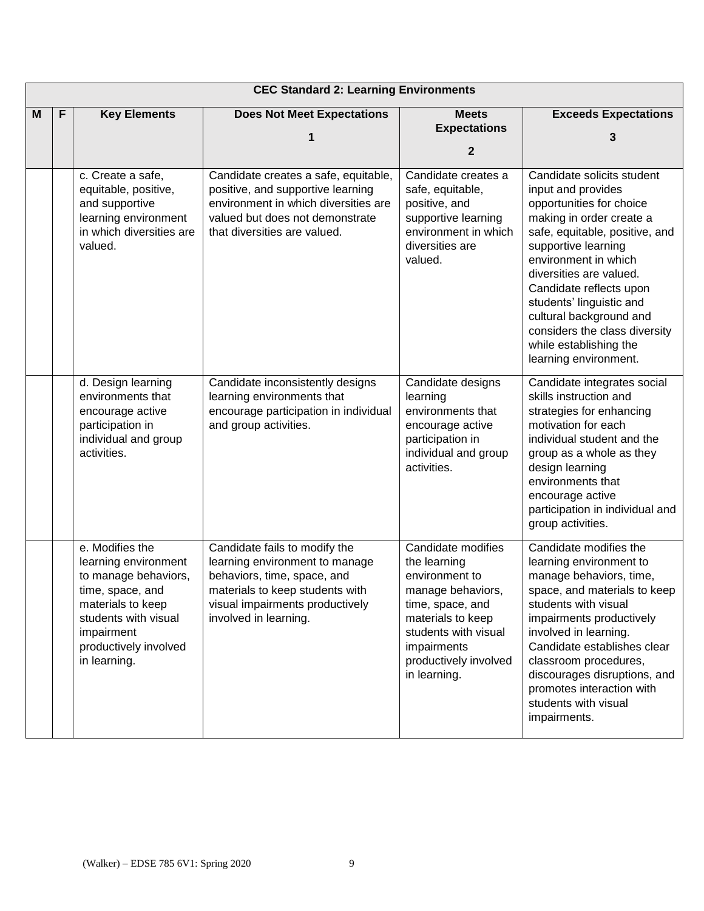|   | <b>CEC Standard 2: Learning Environments</b> |                                                                                                                                                                                         |                                                                                                                                                                                               |                                                                                                                                                                                                    |                                                                                                                                                                                                                                                                                                                                                                                            |
|---|----------------------------------------------|-----------------------------------------------------------------------------------------------------------------------------------------------------------------------------------------|-----------------------------------------------------------------------------------------------------------------------------------------------------------------------------------------------|----------------------------------------------------------------------------------------------------------------------------------------------------------------------------------------------------|--------------------------------------------------------------------------------------------------------------------------------------------------------------------------------------------------------------------------------------------------------------------------------------------------------------------------------------------------------------------------------------------|
| M | F                                            | <b>Key Elements</b>                                                                                                                                                                     | <b>Does Not Meet Expectations</b>                                                                                                                                                             | <b>Meets</b><br><b>Expectations</b><br>$\mathbf{2}$                                                                                                                                                | <b>Exceeds Expectations</b><br>3                                                                                                                                                                                                                                                                                                                                                           |
|   |                                              | c. Create a safe,<br>equitable, positive,<br>and supportive<br>learning environment<br>in which diversities are<br>valued.                                                              | Candidate creates a safe, equitable,<br>positive, and supportive learning<br>environment in which diversities are<br>valued but does not demonstrate<br>that diversities are valued.          | Candidate creates a<br>safe, equitable,<br>positive, and<br>supportive learning<br>environment in which<br>diversities are<br>valued.                                                              | Candidate solicits student<br>input and provides<br>opportunities for choice<br>making in order create a<br>safe, equitable, positive, and<br>supportive learning<br>environment in which<br>diversities are valued.<br>Candidate reflects upon<br>students' linguistic and<br>cultural background and<br>considers the class diversity<br>while establishing the<br>learning environment. |
|   |                                              | d. Design learning<br>environments that<br>encourage active<br>participation in<br>individual and group<br>activities.                                                                  | Candidate inconsistently designs<br>learning environments that<br>encourage participation in individual<br>and group activities.                                                              | Candidate designs<br>learning<br>environments that<br>encourage active<br>participation in<br>individual and group<br>activities.                                                                  | Candidate integrates social<br>skills instruction and<br>strategies for enhancing<br>motivation for each<br>individual student and the<br>group as a whole as they<br>design learning<br>environments that<br>encourage active<br>participation in individual and<br>group activities.                                                                                                     |
|   |                                              | e. Modifies the<br>learning environment<br>to manage behaviors,<br>time, space, and<br>materials to keep<br>students with visual<br>impairment<br>productively involved<br>in learning. | Candidate fails to modify the<br>learning environment to manage<br>behaviors, time, space, and<br>materials to keep students with<br>visual impairments productively<br>involved in learning. | Candidate modifies<br>the learning<br>environment to<br>manage behaviors,<br>time, space, and<br>materials to keep<br>students with visual<br>impairments<br>productively involved<br>in learning. | Candidate modifies the<br>learning environment to<br>manage behaviors, time,<br>space, and materials to keep<br>students with visual<br>impairments productively<br>involved in learning.<br>Candidate establishes clear<br>classroom procedures,<br>discourages disruptions, and<br>promotes interaction with<br>students with visual<br>impairments.                                     |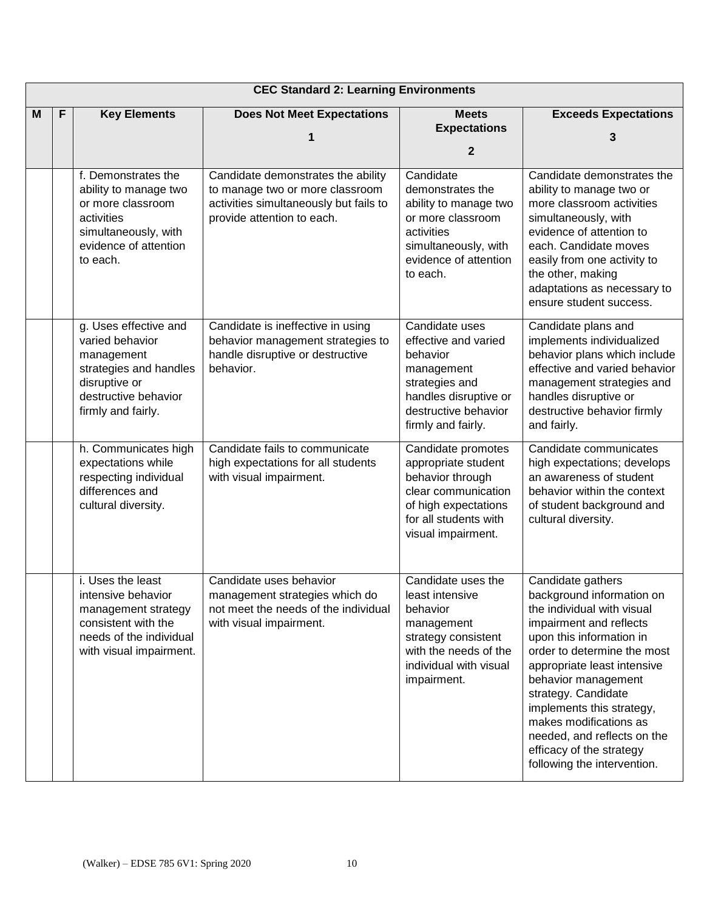|   | <b>CEC Standard 2: Learning Environments</b> |                                                                                                                                                 |                                                                                                                                               |                                                                                                                                                             |                                                                                                                                                                                                                                                                                                                                                                                                  |  |
|---|----------------------------------------------|-------------------------------------------------------------------------------------------------------------------------------------------------|-----------------------------------------------------------------------------------------------------------------------------------------------|-------------------------------------------------------------------------------------------------------------------------------------------------------------|--------------------------------------------------------------------------------------------------------------------------------------------------------------------------------------------------------------------------------------------------------------------------------------------------------------------------------------------------------------------------------------------------|--|
| м | F                                            | <b>Key Elements</b>                                                                                                                             | <b>Does Not Meet Expectations</b><br>1                                                                                                        | <b>Meets</b><br><b>Expectations</b><br>$\mathbf{2}$                                                                                                         | <b>Exceeds Expectations</b><br>3                                                                                                                                                                                                                                                                                                                                                                 |  |
|   |                                              | f. Demonstrates the<br>ability to manage two<br>or more classroom<br>activities<br>simultaneously, with<br>evidence of attention<br>to each.    | Candidate demonstrates the ability<br>to manage two or more classroom<br>activities simultaneously but fails to<br>provide attention to each. | Candidate<br>demonstrates the<br>ability to manage two<br>or more classroom<br>activities<br>simultaneously, with<br>evidence of attention<br>to each.      | Candidate demonstrates the<br>ability to manage two or<br>more classroom activities<br>simultaneously, with<br>evidence of attention to<br>each. Candidate moves<br>easily from one activity to<br>the other, making<br>adaptations as necessary to<br>ensure student success.                                                                                                                   |  |
|   |                                              | g. Uses effective and<br>varied behavior<br>management<br>strategies and handles<br>disruptive or<br>destructive behavior<br>firmly and fairly. | Candidate is ineffective in using<br>behavior management strategies to<br>handle disruptive or destructive<br>behavior.                       | Candidate uses<br>effective and varied<br>behavior<br>management<br>strategies and<br>handles disruptive or<br>destructive behavior<br>firmly and fairly.   | Candidate plans and<br>implements individualized<br>behavior plans which include<br>effective and varied behavior<br>management strategies and<br>handles disruptive or<br>destructive behavior firmly<br>and fairly.                                                                                                                                                                            |  |
|   |                                              | h. Communicates high<br>expectations while<br>respecting individual<br>differences and<br>cultural diversity.                                   | Candidate fails to communicate<br>high expectations for all students<br>with visual impairment.                                               | Candidate promotes<br>appropriate student<br>behavior through<br>clear communication<br>of high expectations<br>for all students with<br>visual impairment. | Candidate communicates<br>high expectations; develops<br>an awareness of student<br>behavior within the context<br>of student background and<br>cultural diversity.                                                                                                                                                                                                                              |  |
|   |                                              | i. Uses the least<br>intensive behavior<br>management strategy<br>consistent with the<br>needs of the individual<br>with visual impairment.     | Candidate uses behavior<br>management strategies which do<br>not meet the needs of the individual<br>with visual impairment.                  | Candidate uses the<br>least intensive<br>behavior<br>management<br>strategy consistent<br>with the needs of the<br>individual with visual<br>impairment.    | Candidate gathers<br>background information on<br>the individual with visual<br>impairment and reflects<br>upon this information in<br>order to determine the most<br>appropriate least intensive<br>behavior management<br>strategy. Candidate<br>implements this strategy,<br>makes modifications as<br>needed, and reflects on the<br>efficacy of the strategy<br>following the intervention. |  |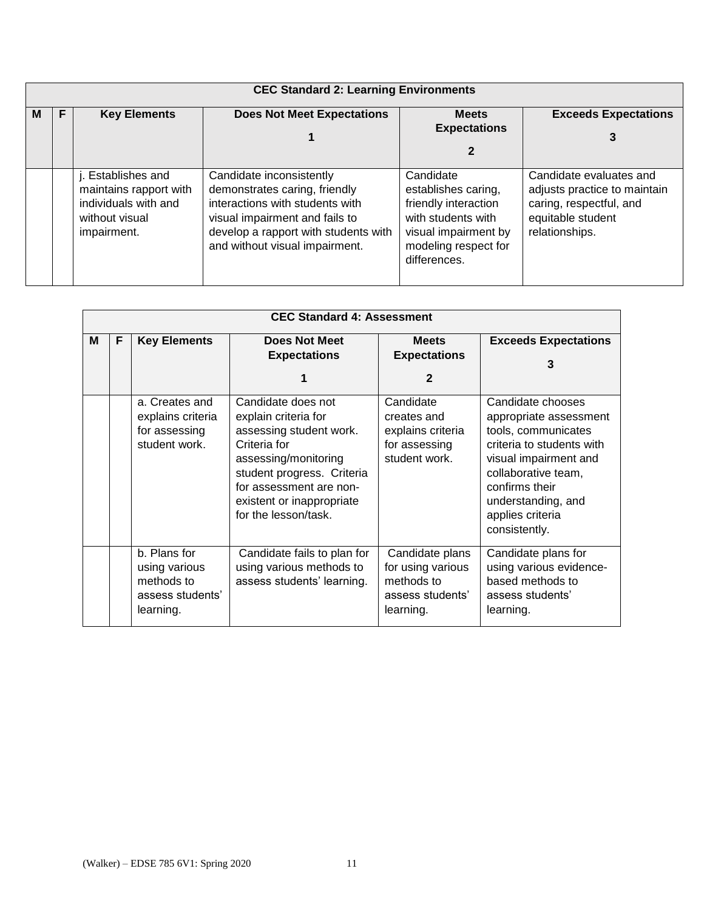|   | <b>CEC Standard 2: Learning Environments</b> |                                                                                                       |                                                                                                                                                                                                          |                                                                                                                                                |                                                                                                                           |  |
|---|----------------------------------------------|-------------------------------------------------------------------------------------------------------|----------------------------------------------------------------------------------------------------------------------------------------------------------------------------------------------------------|------------------------------------------------------------------------------------------------------------------------------------------------|---------------------------------------------------------------------------------------------------------------------------|--|
| м | F                                            | <b>Key Elements</b>                                                                                   | <b>Does Not Meet Expectations</b>                                                                                                                                                                        | <b>Meets</b><br><b>Expectations</b><br>2                                                                                                       | <b>Exceeds Expectations</b>                                                                                               |  |
|   |                                              | j. Establishes and<br>maintains rapport with<br>individuals with and<br>without visual<br>impairment. | Candidate inconsistently<br>demonstrates caring, friendly<br>interactions with students with<br>visual impairment and fails to<br>develop a rapport with students with<br>and without visual impairment. | Candidate<br>establishes caring,<br>friendly interaction<br>with students with<br>visual impairment by<br>modeling respect for<br>differences. | Candidate evaluates and<br>adjusts practice to maintain<br>caring, respectful, and<br>equitable student<br>relationships. |  |

|   | <b>CEC Standard 4: Assessment</b> |                                                                              |                                                                                                                                                                                                                             |                                                                                     |                                                                                                                                                                                                                              |  |  |
|---|-----------------------------------|------------------------------------------------------------------------------|-----------------------------------------------------------------------------------------------------------------------------------------------------------------------------------------------------------------------------|-------------------------------------------------------------------------------------|------------------------------------------------------------------------------------------------------------------------------------------------------------------------------------------------------------------------------|--|--|
| м | F                                 | <b>Key Elements</b>                                                          | <b>Does Not Meet</b><br><b>Expectations</b><br>1                                                                                                                                                                            | <b>Meets</b><br><b>Expectations</b><br>$\mathbf{2}$                                 | <b>Exceeds Expectations</b><br>3                                                                                                                                                                                             |  |  |
|   |                                   | a. Creates and<br>explains criteria<br>for assessing<br>student work.        | Candidate does not<br>explain criteria for<br>assessing student work.<br>Criteria for<br>assessing/monitoring<br>student progress. Criteria<br>for assessment are non-<br>existent or inappropriate<br>for the lesson/task. | Candidate<br>creates and<br>explains criteria<br>for assessing<br>student work.     | Candidate chooses<br>appropriate assessment<br>tools, communicates<br>criteria to students with<br>visual impairment and<br>collaborative team,<br>confirms their<br>understanding, and<br>applies criteria<br>consistently. |  |  |
|   |                                   | b. Plans for<br>using various<br>methods to<br>assess students'<br>learning. | Candidate fails to plan for<br>using various methods to<br>assess students' learning.                                                                                                                                       | Candidate plans<br>for using various<br>methods to<br>assess students'<br>learning. | Candidate plans for<br>using various evidence-<br>based methods to<br>assess students'<br>learning.                                                                                                                          |  |  |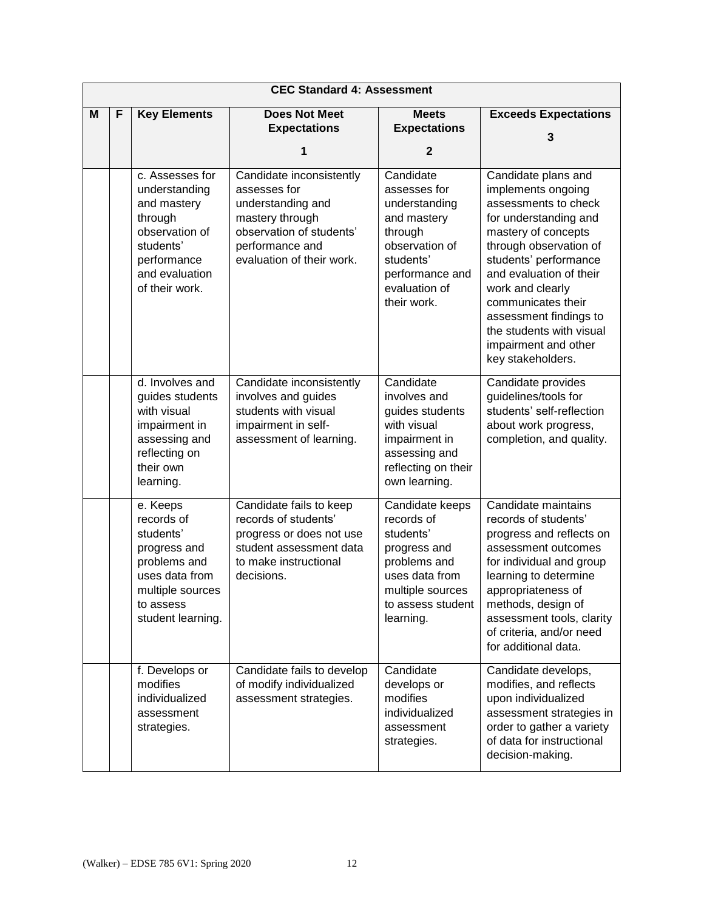|   | <b>CEC Standard 4: Assessment</b> |                                                                                                                                              |                                                                                                                                                              |                                                                                                                                                        |                                                                                                                                                                                                                                                                                                                                              |  |
|---|-----------------------------------|----------------------------------------------------------------------------------------------------------------------------------------------|--------------------------------------------------------------------------------------------------------------------------------------------------------------|--------------------------------------------------------------------------------------------------------------------------------------------------------|----------------------------------------------------------------------------------------------------------------------------------------------------------------------------------------------------------------------------------------------------------------------------------------------------------------------------------------------|--|
| M | F                                 | <b>Key Elements</b>                                                                                                                          | <b>Does Not Meet</b><br><b>Expectations</b><br>1                                                                                                             | <b>Meets</b><br><b>Expectations</b><br>$\mathbf{2}$                                                                                                    | <b>Exceeds Expectations</b><br>3                                                                                                                                                                                                                                                                                                             |  |
|   |                                   | c. Assesses for<br>understanding<br>and mastery<br>through<br>observation of<br>students'<br>performance<br>and evaluation<br>of their work. | Candidate inconsistently<br>assesses for<br>understanding and<br>mastery through<br>observation of students'<br>performance and<br>evaluation of their work. | Candidate<br>assesses for<br>understanding<br>and mastery<br>through<br>observation of<br>students'<br>performance and<br>evaluation of<br>their work. | Candidate plans and<br>implements ongoing<br>assessments to check<br>for understanding and<br>mastery of concepts<br>through observation of<br>students' performance<br>and evaluation of their<br>work and clearly<br>communicates their<br>assessment findings to<br>the students with visual<br>impairment and other<br>key stakeholders. |  |
|   |                                   | d. Involves and<br>guides students<br>with visual<br>impairment in<br>assessing and<br>reflecting on<br>their own<br>learning.               | Candidate inconsistently<br>involves and guides<br>students with visual<br>impairment in self-<br>assessment of learning.                                    | Candidate<br>involves and<br>guides students<br>with visual<br>impairment in<br>assessing and<br>reflecting on their<br>own learning.                  | Candidate provides<br>guidelines/tools for<br>students' self-reflection<br>about work progress,<br>completion, and quality.                                                                                                                                                                                                                  |  |
|   |                                   | e. Keeps<br>records of<br>students'<br>progress and<br>problems and<br>uses data from<br>multiple sources<br>to assess<br>student learning.  | Candidate fails to keep<br>records of students'<br>progress or does not use<br>student assessment data<br>to make instructional<br>decisions.                | Candidate keeps<br>records of<br>students'<br>progress and<br>problems and<br>uses data from<br>multiple sources<br>to assess student<br>learning.     | Candidate maintains<br>records of students'<br>progress and reflects on<br>assessment outcomes<br>for individual and group<br>learning to determine<br>appropriateness of<br>methods, design of<br>assessment tools, clarity<br>of criteria, and/or need<br>for additional data.                                                             |  |
|   |                                   | f. Develops or<br>modifies<br>individualized<br>assessment<br>strategies.                                                                    | Candidate fails to develop<br>of modify individualized<br>assessment strategies.                                                                             | Candidate<br>develops or<br>modifies<br>individualized<br>assessment<br>strategies.                                                                    | Candidate develops,<br>modifies, and reflects<br>upon individualized<br>assessment strategies in<br>order to gather a variety<br>of data for instructional<br>decision-making.                                                                                                                                                               |  |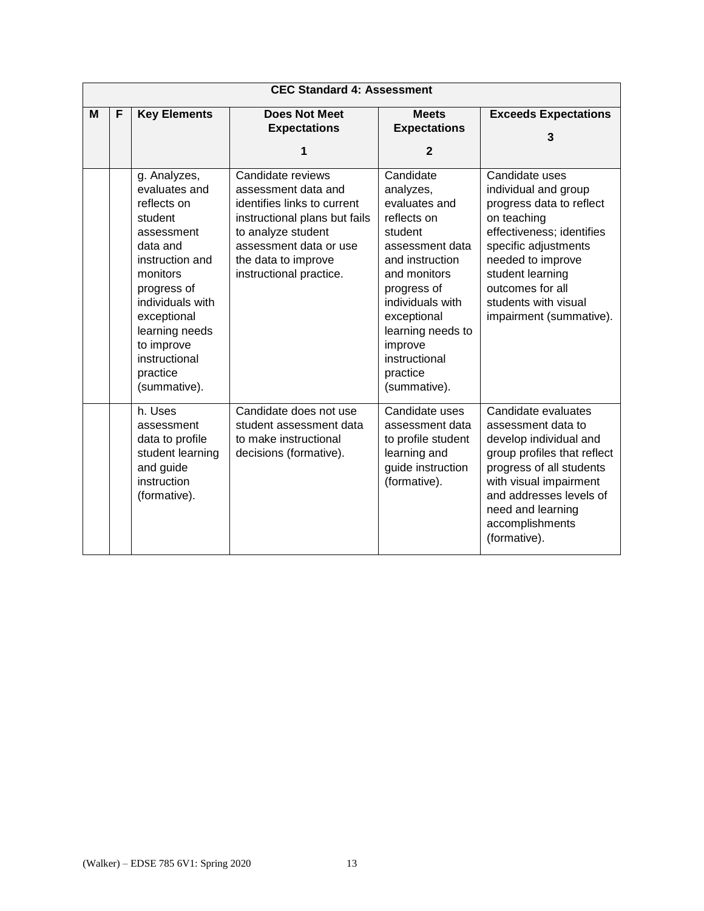|   | <b>CEC Standard 4: Assessment</b> |                                                                                                                                                                                                                                                 |                                                                                                                                                                                                            |                                                                                                                                                                                                                                                        |                                                                                                                                                                                                                                                        |  |
|---|-----------------------------------|-------------------------------------------------------------------------------------------------------------------------------------------------------------------------------------------------------------------------------------------------|------------------------------------------------------------------------------------------------------------------------------------------------------------------------------------------------------------|--------------------------------------------------------------------------------------------------------------------------------------------------------------------------------------------------------------------------------------------------------|--------------------------------------------------------------------------------------------------------------------------------------------------------------------------------------------------------------------------------------------------------|--|
| M | F                                 | <b>Key Elements</b>                                                                                                                                                                                                                             | <b>Does Not Meet</b><br><b>Expectations</b><br>1                                                                                                                                                           | <b>Meets</b><br><b>Expectations</b><br>$\mathbf{2}$                                                                                                                                                                                                    | <b>Exceeds Expectations</b><br>3                                                                                                                                                                                                                       |  |
|   |                                   | g. Analyzes,<br>evaluates and<br>reflects on<br>student<br>assessment<br>data and<br>instruction and<br>monitors<br>progress of<br>individuals with<br>exceptional<br>learning needs<br>to improve<br>instructional<br>practice<br>(summative). | Candidate reviews<br>assessment data and<br>identifies links to current<br>instructional plans but fails<br>to analyze student<br>assessment data or use<br>the data to improve<br>instructional practice. | Candidate<br>analyzes,<br>evaluates and<br>reflects on<br>student<br>assessment data<br>and instruction<br>and monitors<br>progress of<br>individuals with<br>exceptional<br>learning needs to<br>improve<br>instructional<br>practice<br>(summative). | Candidate uses<br>individual and group<br>progress data to reflect<br>on teaching<br>effectiveness; identifies<br>specific adjustments<br>needed to improve<br>student learning<br>outcomes for all<br>students with visual<br>impairment (summative). |  |
|   |                                   | h. Uses<br>assessment<br>data to profile<br>student learning<br>and guide<br>instruction<br>(formative).                                                                                                                                        | Candidate does not use<br>student assessment data<br>to make instructional<br>decisions (formative).                                                                                                       | Candidate uses<br>assessment data<br>to profile student<br>learning and<br>guide instruction<br>(formative).                                                                                                                                           | Candidate evaluates<br>assessment data to<br>develop individual and<br>group profiles that reflect<br>progress of all students<br>with visual impairment<br>and addresses levels of<br>need and learning<br>accomplishments<br>(formative).            |  |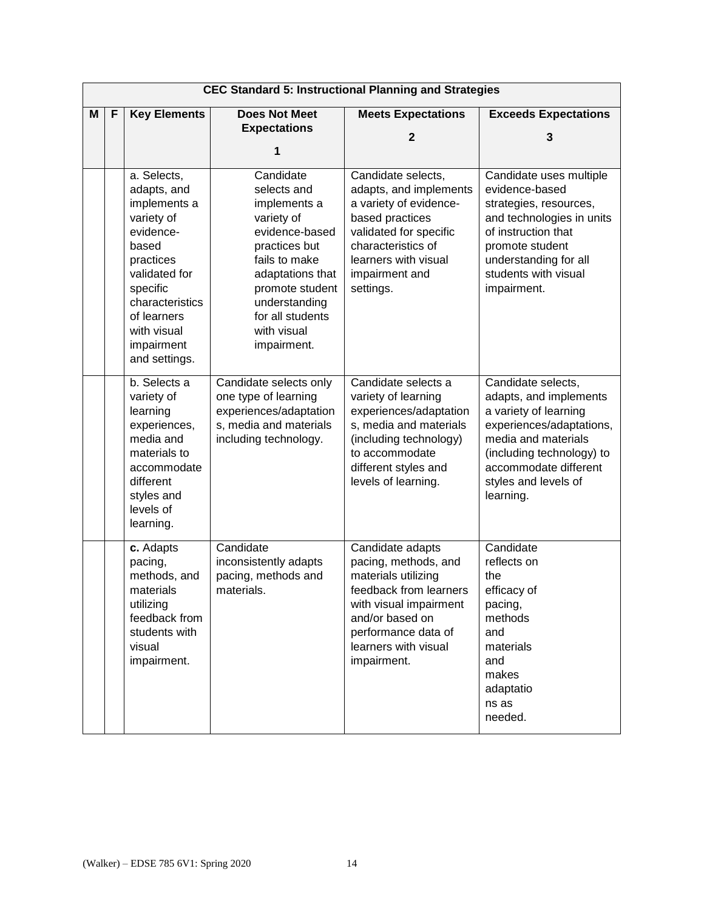|   | <b>CEC Standard 5: Instructional Planning and Strategies</b> |                                                                                                                                                                                                          |                                                                                                                                                                                                                      |                                                                                                                                                                                                      |                                                                                                                                                                                                                     |  |
|---|--------------------------------------------------------------|----------------------------------------------------------------------------------------------------------------------------------------------------------------------------------------------------------|----------------------------------------------------------------------------------------------------------------------------------------------------------------------------------------------------------------------|------------------------------------------------------------------------------------------------------------------------------------------------------------------------------------------------------|---------------------------------------------------------------------------------------------------------------------------------------------------------------------------------------------------------------------|--|
| M | F                                                            | <b>Key Elements</b>                                                                                                                                                                                      | <b>Does Not Meet</b>                                                                                                                                                                                                 | <b>Meets Expectations</b>                                                                                                                                                                            | <b>Exceeds Expectations</b>                                                                                                                                                                                         |  |
|   |                                                              |                                                                                                                                                                                                          | <b>Expectations</b>                                                                                                                                                                                                  | $\mathbf{2}$                                                                                                                                                                                         | 3                                                                                                                                                                                                                   |  |
|   |                                                              |                                                                                                                                                                                                          | 1                                                                                                                                                                                                                    |                                                                                                                                                                                                      |                                                                                                                                                                                                                     |  |
|   |                                                              | a. Selects,<br>adapts, and<br>implements a<br>variety of<br>evidence-<br>based<br>practices<br>validated for<br>specific<br>characteristics<br>of learners<br>with visual<br>impairment<br>and settings. | Candidate<br>selects and<br>implements a<br>variety of<br>evidence-based<br>practices but<br>fails to make<br>adaptations that<br>promote student<br>understanding<br>for all students<br>with visual<br>impairment. | Candidate selects,<br>adapts, and implements<br>a variety of evidence-<br>based practices<br>validated for specific<br>characteristics of<br>learners with visual<br>impairment and<br>settings.     | Candidate uses multiple<br>evidence-based<br>strategies, resources,<br>and technologies in units<br>of instruction that<br>promote student<br>understanding for all<br>students with visual<br>impairment.          |  |
|   |                                                              | b. Selects a<br>variety of<br>learning<br>experiences,<br>media and<br>materials to<br>accommodate<br>different<br>styles and<br>levels of<br>learning.                                                  | Candidate selects only<br>one type of learning<br>experiences/adaptation<br>s, media and materials<br>including technology.                                                                                          | Candidate selects a<br>variety of learning<br>experiences/adaptation<br>s, media and materials<br>(including technology)<br>to accommodate<br>different styles and<br>levels of learning.            | Candidate selects,<br>adapts, and implements<br>a variety of learning<br>experiences/adaptations,<br>media and materials<br>(including technology) to<br>accommodate different<br>styles and levels of<br>learning. |  |
|   |                                                              | c. Adapts<br>pacing,<br>methods, and<br>materials<br>utilizing<br>feedback from<br>students with<br>visual<br>impairment.                                                                                | Candidate<br>inconsistently adapts<br>pacing, methods and<br>materials.                                                                                                                                              | Candidate adapts<br>pacing, methods, and<br>materials utilizing<br>feedback from learners<br>with visual impairment<br>and/or based on<br>performance data of<br>learners with visual<br>impairment. | Candidate<br>reflects on<br>the<br>efficacy of<br>pacing,<br>methods<br>and<br>materials<br>and<br>makes<br>adaptatio<br>ns as<br>needed.                                                                           |  |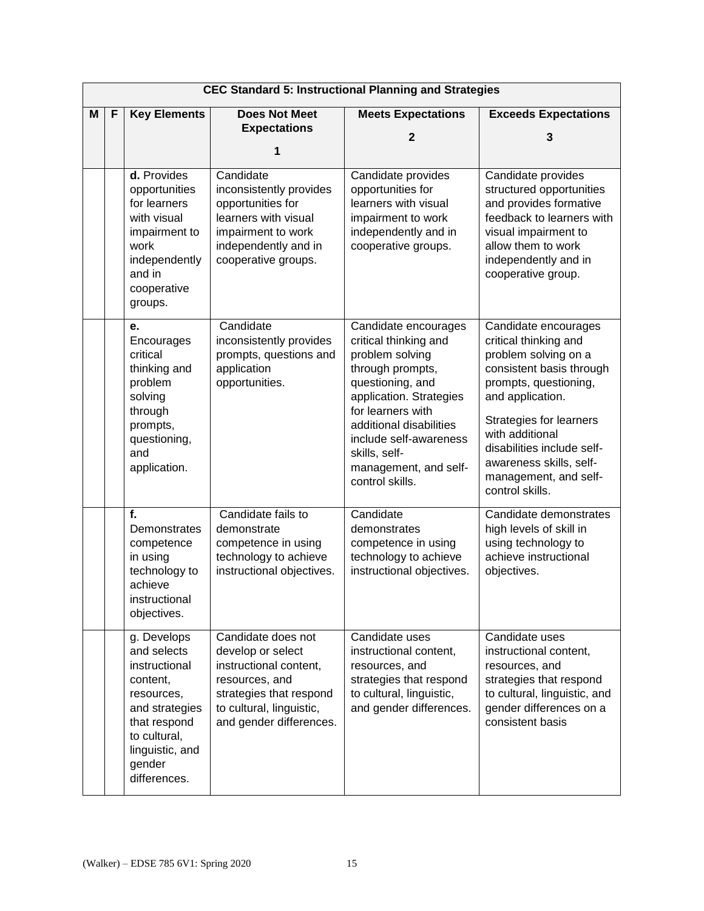|   | <b>CEC Standard 5: Instructional Planning and Strategies</b> |                                                                                                                                                                      |                                                                                                                                                                       |                                                                                                                                                                                                                                                                            |                                                                                                                                                                                                                                                                                                          |  |
|---|--------------------------------------------------------------|----------------------------------------------------------------------------------------------------------------------------------------------------------------------|-----------------------------------------------------------------------------------------------------------------------------------------------------------------------|----------------------------------------------------------------------------------------------------------------------------------------------------------------------------------------------------------------------------------------------------------------------------|----------------------------------------------------------------------------------------------------------------------------------------------------------------------------------------------------------------------------------------------------------------------------------------------------------|--|
| М | <b>Key Elements</b><br>F                                     |                                                                                                                                                                      | <b>Does Not Meet</b>                                                                                                                                                  | <b>Meets Expectations</b>                                                                                                                                                                                                                                                  | <b>Exceeds Expectations</b>                                                                                                                                                                                                                                                                              |  |
|   |                                                              |                                                                                                                                                                      | <b>Expectations</b>                                                                                                                                                   | $\mathbf{2}$                                                                                                                                                                                                                                                               | 3                                                                                                                                                                                                                                                                                                        |  |
|   |                                                              |                                                                                                                                                                      | 1                                                                                                                                                                     |                                                                                                                                                                                                                                                                            |                                                                                                                                                                                                                                                                                                          |  |
|   |                                                              | d. Provides<br>opportunities<br>for learners<br>with visual<br>impairment to<br>work<br>independently<br>and in<br>cooperative<br>groups.                            | Candidate<br>inconsistently provides<br>opportunities for<br>learners with visual<br>impairment to work<br>independently and in<br>cooperative groups.                | Candidate provides<br>opportunities for<br>learners with visual<br>impairment to work<br>independently and in<br>cooperative groups.                                                                                                                                       | Candidate provides<br>structured opportunities<br>and provides formative<br>feedback to learners with<br>visual impairment to<br>allow them to work<br>independently and in<br>cooperative group.                                                                                                        |  |
|   |                                                              | е.<br>Encourages<br>critical<br>thinking and<br>problem<br>solving<br>through<br>prompts,<br>questioning,<br>and<br>application.                                     | Candidate<br>inconsistently provides<br>prompts, questions and<br>application<br>opportunities.                                                                       | Candidate encourages<br>critical thinking and<br>problem solving<br>through prompts,<br>questioning, and<br>application. Strategies<br>for learners with<br>additional disabilities<br>include self-awareness<br>skills, self-<br>management, and self-<br>control skills. | Candidate encourages<br>critical thinking and<br>problem solving on a<br>consistent basis through<br>prompts, questioning,<br>and application.<br><b>Strategies for learners</b><br>with additional<br>disabilities include self-<br>awareness skills, self-<br>management, and self-<br>control skills. |  |
|   |                                                              | f.<br>Demonstrates<br>competence<br>in using<br>technology to<br>achieve<br>instructional<br>objectives.                                                             | Candidate fails to<br>demonstrate<br>competence in using<br>technology to achieve<br>instructional objectives.                                                        | Candidate<br>demonstrates<br>competence in using<br>technology to achieve<br>instructional objectives.                                                                                                                                                                     | Candidate demonstrates<br>high levels of skill in<br>using technology to<br>achieve instructional<br>objectives.                                                                                                                                                                                         |  |
|   |                                                              | g. Develops<br>and selects<br>instructional<br>content,<br>resources,<br>and strategies<br>that respond<br>to cultural,<br>linguistic, and<br>gender<br>differences. | Candidate does not<br>develop or select<br>instructional content,<br>resources, and<br>strategies that respond<br>to cultural, linguistic,<br>and gender differences. | Candidate uses<br>instructional content,<br>resources, and<br>strategies that respond<br>to cultural, linguistic,<br>and gender differences.                                                                                                                               | Candidate uses<br>instructional content,<br>resources, and<br>strategies that respond<br>to cultural, linguistic, and<br>gender differences on a<br>consistent basis                                                                                                                                     |  |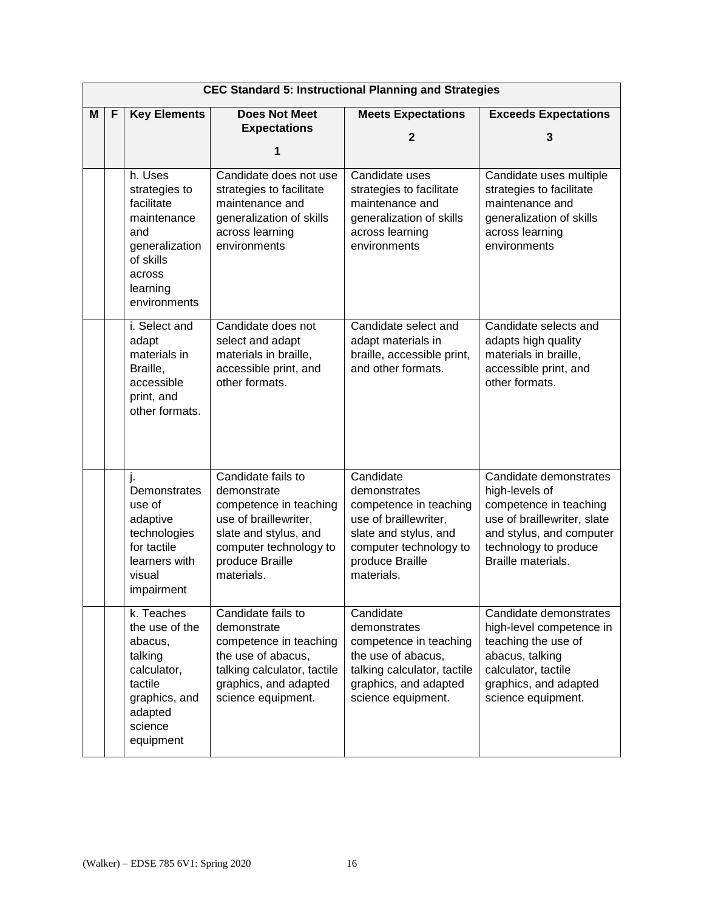|   |                          |                                                                                                                                   |                                                                                                                                                                          | <b>CEC Standard 5: Instructional Planning and Strategies</b>                                                                                                     |                                                                                                                                                                              |
|---|--------------------------|-----------------------------------------------------------------------------------------------------------------------------------|--------------------------------------------------------------------------------------------------------------------------------------------------------------------------|------------------------------------------------------------------------------------------------------------------------------------------------------------------|------------------------------------------------------------------------------------------------------------------------------------------------------------------------------|
| м | <b>Key Elements</b><br>F |                                                                                                                                   | <b>Does Not Meet</b>                                                                                                                                                     | <b>Meets Expectations</b>                                                                                                                                        | <b>Exceeds Expectations</b>                                                                                                                                                  |
|   |                          |                                                                                                                                   | <b>Expectations</b>                                                                                                                                                      | $\mathbf{2}$                                                                                                                                                     | 3                                                                                                                                                                            |
|   |                          |                                                                                                                                   | 1                                                                                                                                                                        |                                                                                                                                                                  |                                                                                                                                                                              |
|   |                          | h. Uses<br>strategies to<br>facilitate<br>maintenance<br>and<br>generalization<br>of skills<br>across<br>learning<br>environments | Candidate does not use<br>strategies to facilitate<br>maintenance and<br>generalization of skills<br>across learning<br>environments                                     | Candidate uses<br>strategies to facilitate<br>maintenance and<br>generalization of skills<br>across learning<br>environments                                     | Candidate uses multiple<br>strategies to facilitate<br>maintenance and<br>generalization of skills<br>across learning<br>environments                                        |
|   |                          | i. Select and<br>adapt<br>materials in<br>Braille,<br>accessible<br>print, and<br>other formats.                                  | Candidate does not<br>select and adapt<br>materials in braille,<br>accessible print, and<br>other formats.                                                               | Candidate select and<br>adapt materials in<br>braille, accessible print,<br>and other formats.                                                                   | Candidate selects and<br>adapts high quality<br>materials in braille,<br>accessible print, and<br>other formats.                                                             |
|   |                          | j.<br>Demonstrates<br>use of<br>adaptive<br>technologies<br>for tactile<br>learners with<br>visual<br>impairment                  | Candidate fails to<br>demonstrate<br>competence in teaching<br>use of braillewriter,<br>slate and stylus, and<br>computer technology to<br>produce Braille<br>materials. | Candidate<br>demonstrates<br>competence in teaching<br>use of braillewriter,<br>slate and stylus, and<br>computer technology to<br>produce Braille<br>materials. | Candidate demonstrates<br>high-levels of<br>competence in teaching<br>use of braillewriter, slate<br>and stylus, and computer<br>technology to produce<br>Braille materials. |
|   |                          | k. Teaches<br>the use of the<br>abacus,<br>talking<br>calculator,<br>tactile<br>graphics, and<br>adapted<br>science<br>equipment  | Candidate fails to<br>demonstrate<br>competence in teaching<br>the use of abacus,<br>talking calculator, tactile<br>graphics, and adapted<br>science equipment.          | Candidate<br>demonstrates<br>competence in teaching<br>the use of abacus,<br>talking calculator, tactile<br>graphics, and adapted<br>science equipment.          | Candidate demonstrates<br>high-level competence in<br>teaching the use of<br>abacus, talking<br>calculator, tactile<br>graphics, and adapted<br>science equipment.           |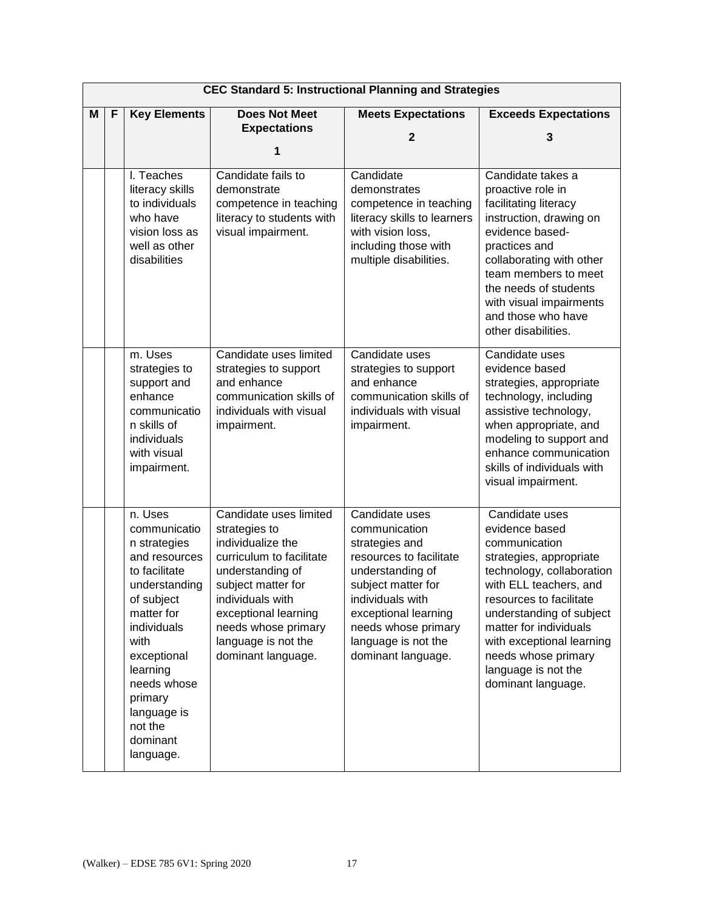| <b>CEC Standard 5: Instructional Planning and Strategies</b> |                          |                                                                                                                                                                                                                                                       |                                                                                                                                                                                                                                                    |                                                                                                                                                                                                                                        |                                                                                                                                                                                                                                                                                                                       |  |  |
|--------------------------------------------------------------|--------------------------|-------------------------------------------------------------------------------------------------------------------------------------------------------------------------------------------------------------------------------------------------------|----------------------------------------------------------------------------------------------------------------------------------------------------------------------------------------------------------------------------------------------------|----------------------------------------------------------------------------------------------------------------------------------------------------------------------------------------------------------------------------------------|-----------------------------------------------------------------------------------------------------------------------------------------------------------------------------------------------------------------------------------------------------------------------------------------------------------------------|--|--|
| М                                                            | <b>Key Elements</b><br>F |                                                                                                                                                                                                                                                       | <b>Does Not Meet</b>                                                                                                                                                                                                                               | <b>Meets Expectations</b>                                                                                                                                                                                                              | <b>Exceeds Expectations</b>                                                                                                                                                                                                                                                                                           |  |  |
|                                                              |                          |                                                                                                                                                                                                                                                       | <b>Expectations</b>                                                                                                                                                                                                                                | $\mathbf{2}$                                                                                                                                                                                                                           | 3                                                                                                                                                                                                                                                                                                                     |  |  |
|                                                              |                          |                                                                                                                                                                                                                                                       | 1                                                                                                                                                                                                                                                  |                                                                                                                                                                                                                                        |                                                                                                                                                                                                                                                                                                                       |  |  |
|                                                              |                          | I. Teaches<br>literacy skills<br>to individuals<br>who have<br>vision loss as<br>well as other<br>disabilities                                                                                                                                        | Candidate fails to<br>demonstrate<br>competence in teaching<br>literacy to students with<br>visual impairment.                                                                                                                                     | Candidate<br>demonstrates<br>competence in teaching<br>literacy skills to learners<br>with vision loss,<br>including those with<br>multiple disabilities.                                                                              | Candidate takes a<br>proactive role in<br>facilitating literacy<br>instruction, drawing on<br>evidence based-<br>practices and<br>collaborating with other<br>team members to meet<br>the needs of students<br>with visual impairments<br>and those who have<br>other disabilities.                                   |  |  |
|                                                              |                          | m. Uses<br>strategies to<br>support and<br>enhance<br>communicatio<br>n skills of<br>individuals<br>with visual<br>impairment.                                                                                                                        | Candidate uses limited<br>strategies to support<br>and enhance<br>communication skills of<br>individuals with visual<br>impairment.                                                                                                                | Candidate uses<br>strategies to support<br>and enhance<br>communication skills of<br>individuals with visual<br>impairment.                                                                                                            | Candidate uses<br>evidence based<br>strategies, appropriate<br>technology, including<br>assistive technology,<br>when appropriate, and<br>modeling to support and<br>enhance communication<br>skills of individuals with<br>visual impairment.                                                                        |  |  |
|                                                              |                          | n. Uses<br>communicatio<br>n strategies<br>and resources<br>to facilitate<br>understanding<br>of subject<br>matter for<br>individuals<br>with<br>exceptional<br>learning<br>needs whose<br>primary<br>language is<br>not the<br>dominant<br>language. | Candidate uses limited<br>strategies to<br>individualize the<br>curriculum to facilitate<br>understanding of<br>subject matter for<br>individuals with<br>exceptional learning<br>needs whose primary<br>language is not the<br>dominant language. | Candidate uses<br>communication<br>strategies and<br>resources to facilitate<br>understanding of<br>subject matter for<br>individuals with<br>exceptional learning<br>needs whose primary<br>language is not the<br>dominant language. | Candidate uses<br>evidence based<br>communication<br>strategies, appropriate<br>technology, collaboration<br>with ELL teachers, and<br>resources to facilitate<br>understanding of subject<br>matter for individuals<br>with exceptional learning<br>needs whose primary<br>language is not the<br>dominant language. |  |  |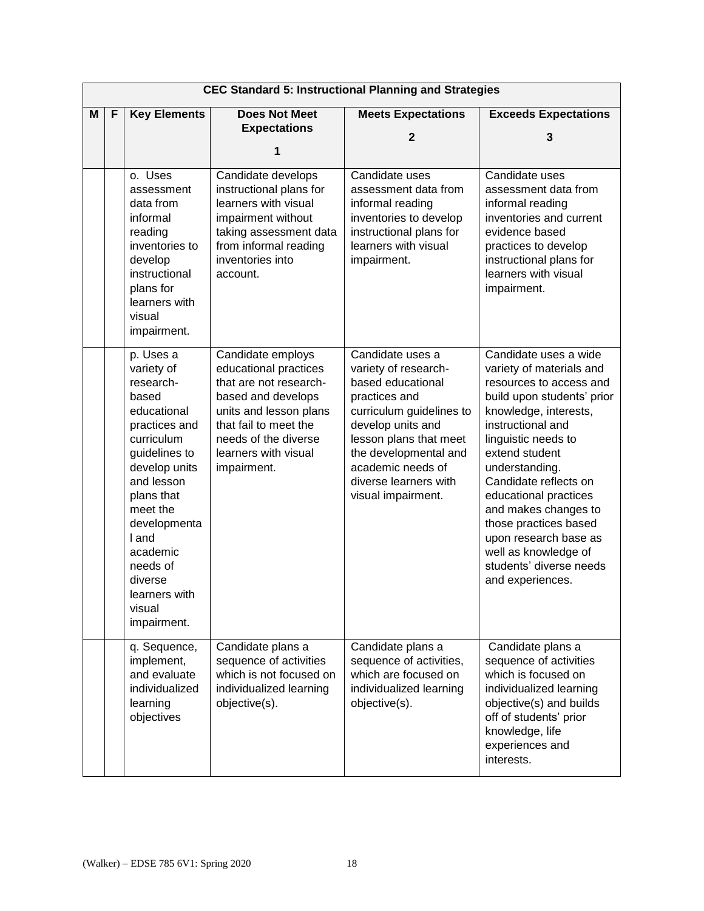|   | <b>CEC Standard 5: Instructional Planning and Strategies</b> |                                                                                                                                                                                                                                                                             |                                                                                                                                                                                                              |                                                                                                                                                                                                                                                        |                                                                                                                                                                                                                                                                                                                                                                                                                        |  |  |  |
|---|--------------------------------------------------------------|-----------------------------------------------------------------------------------------------------------------------------------------------------------------------------------------------------------------------------------------------------------------------------|--------------------------------------------------------------------------------------------------------------------------------------------------------------------------------------------------------------|--------------------------------------------------------------------------------------------------------------------------------------------------------------------------------------------------------------------------------------------------------|------------------------------------------------------------------------------------------------------------------------------------------------------------------------------------------------------------------------------------------------------------------------------------------------------------------------------------------------------------------------------------------------------------------------|--|--|--|
| М | <b>Key Elements</b><br>F                                     |                                                                                                                                                                                                                                                                             | <b>Does Not Meet</b>                                                                                                                                                                                         | <b>Meets Expectations</b>                                                                                                                                                                                                                              | <b>Exceeds Expectations</b>                                                                                                                                                                                                                                                                                                                                                                                            |  |  |  |
|   |                                                              |                                                                                                                                                                                                                                                                             | <b>Expectations</b>                                                                                                                                                                                          | $\mathbf{2}$                                                                                                                                                                                                                                           | 3                                                                                                                                                                                                                                                                                                                                                                                                                      |  |  |  |
|   |                                                              |                                                                                                                                                                                                                                                                             | 1                                                                                                                                                                                                            |                                                                                                                                                                                                                                                        |                                                                                                                                                                                                                                                                                                                                                                                                                        |  |  |  |
|   |                                                              | o. Uses<br>assessment<br>data from<br>informal<br>reading<br>inventories to<br>develop<br>instructional<br>plans for<br>learners with<br>visual<br>impairment.                                                                                                              | Candidate develops<br>instructional plans for<br>learners with visual<br>impairment without<br>taking assessment data<br>from informal reading<br>inventories into<br>account.                               | Candidate uses<br>assessment data from<br>informal reading<br>inventories to develop<br>instructional plans for<br>learners with visual<br>impairment.                                                                                                 | Candidate uses<br>assessment data from<br>informal reading<br>inventories and current<br>evidence based<br>practices to develop<br>instructional plans for<br>learners with visual<br>impairment.                                                                                                                                                                                                                      |  |  |  |
|   |                                                              | p. Uses a<br>variety of<br>research-<br>based<br>educational<br>practices and<br>curriculum<br>guidelines to<br>develop units<br>and lesson<br>plans that<br>meet the<br>developmenta<br>I and<br>academic<br>needs of<br>diverse<br>learners with<br>visual<br>impairment. | Candidate employs<br>educational practices<br>that are not research-<br>based and develops<br>units and lesson plans<br>that fail to meet the<br>needs of the diverse<br>learners with visual<br>impairment. | Candidate uses a<br>variety of research-<br>based educational<br>practices and<br>curriculum guidelines to<br>develop units and<br>lesson plans that meet<br>the developmental and<br>academic needs of<br>diverse learners with<br>visual impairment. | Candidate uses a wide<br>variety of materials and<br>resources to access and<br>build upon students' prior<br>knowledge, interests,<br>instructional and<br>linguistic needs to<br>extend student<br>understanding.<br>Candidate reflects on<br>educational practices<br>and makes changes to<br>those practices based<br>upon research base as<br>well as knowledge of<br>students' diverse needs<br>and experiences. |  |  |  |
|   |                                                              | q. Sequence,<br>implement,<br>and evaluate<br>individualized<br>learning<br>objectives                                                                                                                                                                                      | Candidate plans a<br>sequence of activities<br>which is not focused on<br>individualized learning<br>objective(s).                                                                                           | Candidate plans a<br>sequence of activities,<br>which are focused on<br>individualized learning<br>objective(s).                                                                                                                                       | Candidate plans a<br>sequence of activities<br>which is focused on<br>individualized learning<br>objective(s) and builds<br>off of students' prior<br>knowledge, life<br>experiences and<br>interests.                                                                                                                                                                                                                 |  |  |  |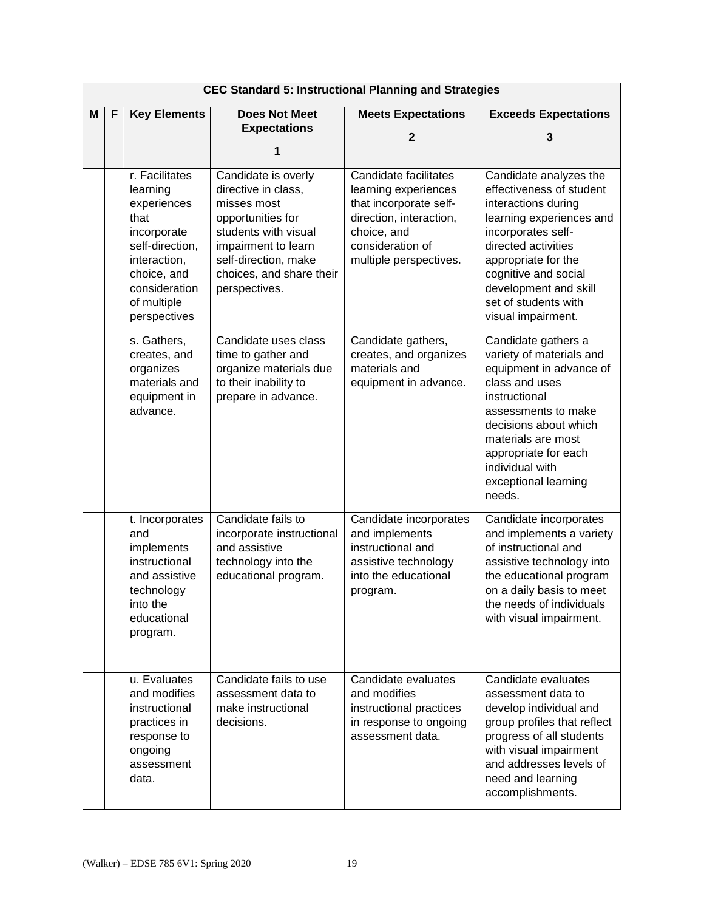| <b>CEC Standard 5: Instructional Planning and Strategies</b> |   |                                                                                                                                                                    |                                                                                                                                                                                                    |                                                                                                                                                                 |                                                                                                                                                                                                                                                                          |  |  |
|--------------------------------------------------------------|---|--------------------------------------------------------------------------------------------------------------------------------------------------------------------|----------------------------------------------------------------------------------------------------------------------------------------------------------------------------------------------------|-----------------------------------------------------------------------------------------------------------------------------------------------------------------|--------------------------------------------------------------------------------------------------------------------------------------------------------------------------------------------------------------------------------------------------------------------------|--|--|
| M                                                            | F | <b>Key Elements</b>                                                                                                                                                | <b>Does Not Meet</b>                                                                                                                                                                               | <b>Meets Expectations</b>                                                                                                                                       | <b>Exceeds Expectations</b>                                                                                                                                                                                                                                              |  |  |
|                                                              |   |                                                                                                                                                                    | <b>Expectations</b>                                                                                                                                                                                | $\mathbf{2}$                                                                                                                                                    | 3                                                                                                                                                                                                                                                                        |  |  |
|                                                              |   |                                                                                                                                                                    | 1                                                                                                                                                                                                  |                                                                                                                                                                 |                                                                                                                                                                                                                                                                          |  |  |
|                                                              |   | r. Facilitates<br>learning<br>experiences<br>that<br>incorporate<br>self-direction,<br>interaction,<br>choice, and<br>consideration<br>of multiple<br>perspectives | Candidate is overly<br>directive in class,<br>misses most<br>opportunities for<br>students with visual<br>impairment to learn<br>self-direction, make<br>choices, and share their<br>perspectives. | Candidate facilitates<br>learning experiences<br>that incorporate self-<br>direction, interaction,<br>choice, and<br>consideration of<br>multiple perspectives. | Candidate analyzes the<br>effectiveness of student<br>interactions during<br>learning experiences and<br>incorporates self-<br>directed activities<br>appropriate for the<br>cognitive and social<br>development and skill<br>set of students with<br>visual impairment. |  |  |
|                                                              |   | s. Gathers,<br>creates, and<br>organizes<br>materials and<br>equipment in<br>advance.                                                                              | Candidate uses class<br>time to gather and<br>organize materials due<br>to their inability to<br>prepare in advance.                                                                               | Candidate gathers,<br>creates, and organizes<br>materials and<br>equipment in advance.                                                                          | Candidate gathers a<br>variety of materials and<br>equipment in advance of<br>class and uses<br>instructional<br>assessments to make<br>decisions about which<br>materials are most<br>appropriate for each<br>individual with<br>exceptional learning<br>needs.         |  |  |
|                                                              |   | t. Incorporates<br>and<br>implements<br>instructional<br>and assistive<br>technology<br>into the<br>educational<br>program.                                        | Candidate fails to<br>incorporate instructional<br>and assistive<br>technology into the<br>educational program.                                                                                    | Candidate incorporates<br>and implements<br>instructional and<br>assistive technology<br>into the educational<br>program.                                       | Candidate incorporates<br>and implements a variety<br>of instructional and<br>assistive technology into<br>the educational program<br>on a daily basis to meet<br>the needs of individuals<br>with visual impairment.                                                    |  |  |
|                                                              |   | u. Evaluates<br>and modifies<br>instructional<br>practices in<br>response to<br>ongoing<br>assessment<br>data.                                                     | Candidate fails to use<br>assessment data to<br>make instructional<br>decisions.                                                                                                                   | Candidate evaluates<br>and modifies<br>instructional practices<br>in response to ongoing<br>assessment data.                                                    | Candidate evaluates<br>assessment data to<br>develop individual and<br>group profiles that reflect<br>progress of all students<br>with visual impairment<br>and addresses levels of<br>need and learning<br>accomplishments.                                             |  |  |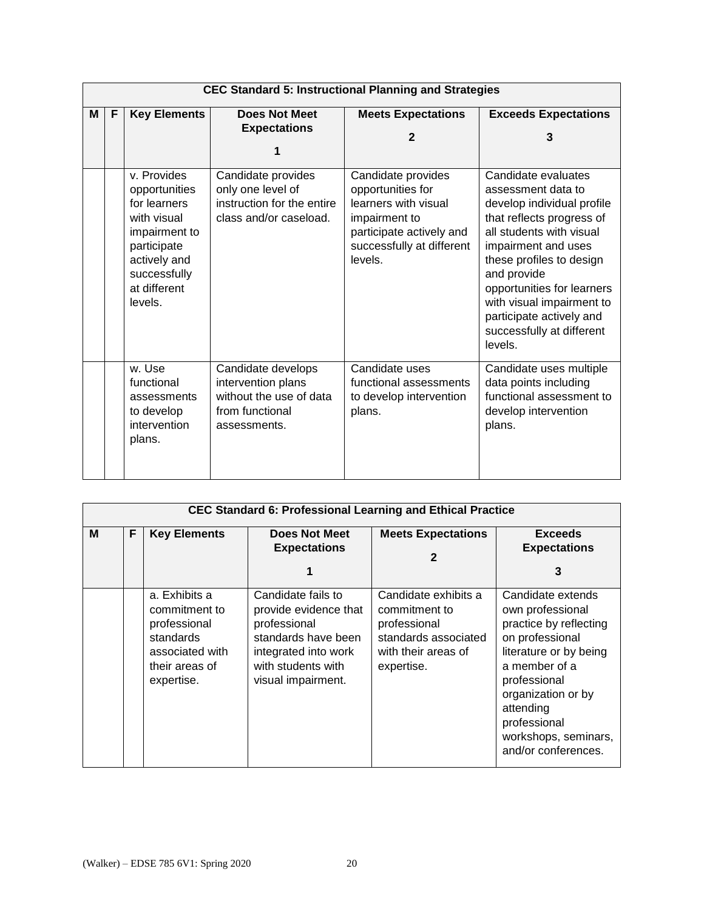|   | <b>CEC Standard 5: Instructional Planning and Strategies</b> |                                                                                                                                                        |                                                                                                        |                                                                                                                                                      |                                                                                                                                                                                                                                                                                                                                   |  |  |  |  |
|---|--------------------------------------------------------------|--------------------------------------------------------------------------------------------------------------------------------------------------------|--------------------------------------------------------------------------------------------------------|------------------------------------------------------------------------------------------------------------------------------------------------------|-----------------------------------------------------------------------------------------------------------------------------------------------------------------------------------------------------------------------------------------------------------------------------------------------------------------------------------|--|--|--|--|
| М | F                                                            | <b>Key Elements</b>                                                                                                                                    | <b>Does Not Meet</b><br><b>Expectations</b>                                                            | <b>Meets Expectations</b><br>$\mathbf{2}$                                                                                                            | <b>Exceeds Expectations</b><br>3                                                                                                                                                                                                                                                                                                  |  |  |  |  |
|   |                                                              | v. Provides<br>opportunities<br>for learners<br>with visual<br>impairment to<br>participate<br>actively and<br>successfully<br>at different<br>levels. | Candidate provides<br>only one level of<br>instruction for the entire<br>class and/or caseload.        | Candidate provides<br>opportunities for<br>learners with visual<br>impairment to<br>participate actively and<br>successfully at different<br>levels. | Candidate evaluates<br>assessment data to<br>develop individual profile<br>that reflects progress of<br>all students with visual<br>impairment and uses<br>these profiles to design<br>and provide<br>opportunities for learners<br>with visual impairment to<br>participate actively and<br>successfully at different<br>levels. |  |  |  |  |
|   |                                                              | w. Use<br>functional<br>assessments<br>to develop<br>intervention<br>plans.                                                                            | Candidate develops<br>intervention plans<br>without the use of data<br>from functional<br>assessments. | Candidate uses<br>functional assessments<br>to develop intervention<br>plans.                                                                        | Candidate uses multiple<br>data points including<br>functional assessment to<br>develop intervention<br>plans.                                                                                                                                                                                                                    |  |  |  |  |

|   | <b>CEC Standard 6: Professional Learning and Ethical Practice</b> |                                                                                                                |                                                                                                                                                        |                                                                                                                    |                                                                                                                                                                                                                                                 |  |  |  |  |
|---|-------------------------------------------------------------------|----------------------------------------------------------------------------------------------------------------|--------------------------------------------------------------------------------------------------------------------------------------------------------|--------------------------------------------------------------------------------------------------------------------|-------------------------------------------------------------------------------------------------------------------------------------------------------------------------------------------------------------------------------------------------|--|--|--|--|
| M | F                                                                 | <b>Key Elements</b>                                                                                            | Does Not Meet<br><b>Expectations</b>                                                                                                                   | <b>Meets Expectations</b><br>$\mathbf{2}$                                                                          | <b>Exceeds</b><br><b>Expectations</b><br>3                                                                                                                                                                                                      |  |  |  |  |
|   |                                                                   | a. Exhibits a<br>commitment to<br>professional<br>standards<br>associated with<br>their areas of<br>expertise. | Candidate fails to<br>provide evidence that<br>professional<br>standards have been<br>integrated into work<br>with students with<br>visual impairment. | Candidate exhibits a<br>commitment to<br>professional<br>standards associated<br>with their areas of<br>expertise. | Candidate extends<br>own professional<br>practice by reflecting<br>on professional<br>literature or by being<br>a member of a<br>professional<br>organization or by<br>attending<br>professional<br>workshops, seminars,<br>and/or conferences. |  |  |  |  |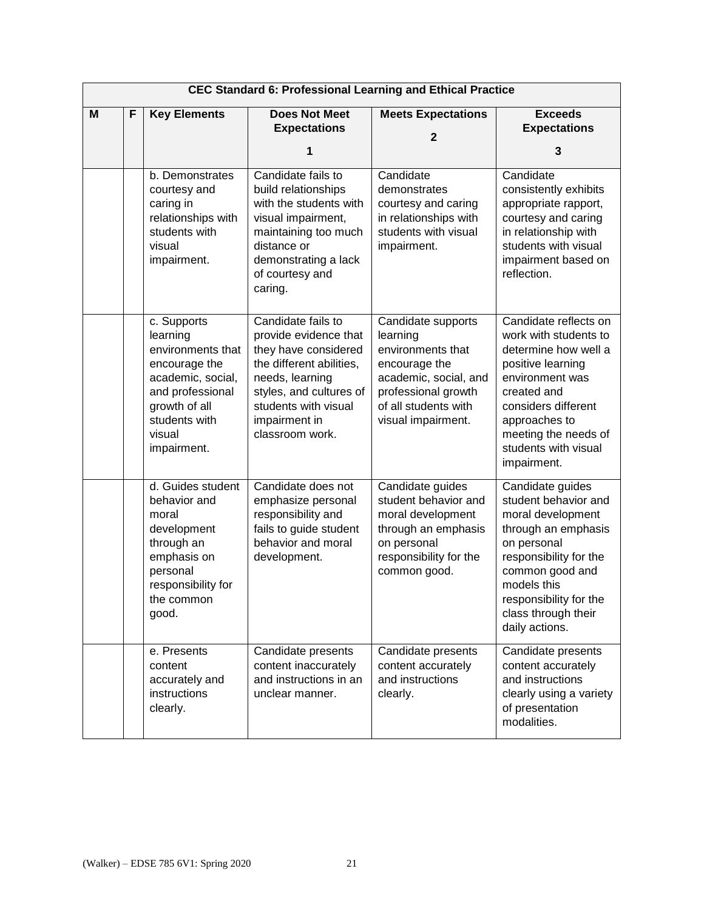|   |   |                                                                                                                                                                   | <b>CEC Standard 6: Professional Learning and Ethical Practice</b>                                                                                                                                         |                                                                                                                                                                    |                                                                                                                                                                                                                                      |
|---|---|-------------------------------------------------------------------------------------------------------------------------------------------------------------------|-----------------------------------------------------------------------------------------------------------------------------------------------------------------------------------------------------------|--------------------------------------------------------------------------------------------------------------------------------------------------------------------|--------------------------------------------------------------------------------------------------------------------------------------------------------------------------------------------------------------------------------------|
| M | F | <b>Key Elements</b>                                                                                                                                               | <b>Does Not Meet</b><br><b>Expectations</b><br>1                                                                                                                                                          | <b>Meets Expectations</b><br>$\overline{2}$                                                                                                                        | <b>Exceeds</b><br><b>Expectations</b><br>3                                                                                                                                                                                           |
|   |   |                                                                                                                                                                   |                                                                                                                                                                                                           |                                                                                                                                                                    |                                                                                                                                                                                                                                      |
|   |   | b. Demonstrates<br>courtesy and<br>caring in<br>relationships with<br>students with<br>visual<br>impairment.                                                      | Candidate fails to<br>build relationships<br>with the students with<br>visual impairment,<br>maintaining too much<br>distance or<br>demonstrating a lack<br>of courtesy and<br>caring.                    | Candidate<br>demonstrates<br>courtesy and caring<br>in relationships with<br>students with visual<br>impairment.                                                   | Candidate<br>consistently exhibits<br>appropriate rapport,<br>courtesy and caring<br>in relationship with<br>students with visual<br>impairment based on<br>reflection.                                                              |
|   |   | c. Supports<br>learning<br>environments that<br>encourage the<br>academic, social,<br>and professional<br>growth of all<br>students with<br>visual<br>impairment. | Candidate fails to<br>provide evidence that<br>they have considered<br>the different abilities,<br>needs, learning<br>styles, and cultures of<br>students with visual<br>impairment in<br>classroom work. | Candidate supports<br>learning<br>environments that<br>encourage the<br>academic, social, and<br>professional growth<br>of all students with<br>visual impairment. | Candidate reflects on<br>work with students to<br>determine how well a<br>positive learning<br>environment was<br>created and<br>considers different<br>approaches to<br>meeting the needs of<br>students with visual<br>impairment. |
|   |   | d. Guides student<br>behavior and<br>moral<br>development<br>through an<br>emphasis on<br>personal<br>responsibility for<br>the common<br>good.                   | Candidate does not<br>emphasize personal<br>responsibility and<br>fails to guide student<br>behavior and moral<br>development.                                                                            | Candidate guides<br>student behavior and<br>moral development<br>through an emphasis<br>on personal<br>responsibility for the<br>common good.                      | Candidate guides<br>student behavior and<br>moral development<br>through an emphasis<br>on personal<br>responsibility for the<br>common good and<br>models this<br>responsibility for the<br>class through their<br>daily actions.   |
|   |   | e. Presents<br>content<br>accurately and<br>instructions<br>clearly.                                                                                              | Candidate presents<br>content inaccurately<br>and instructions in an<br>unclear manner.                                                                                                                   | Candidate presents<br>content accurately<br>and instructions<br>clearly.                                                                                           | Candidate presents<br>content accurately<br>and instructions<br>clearly using a variety<br>of presentation<br>modalities.                                                                                                            |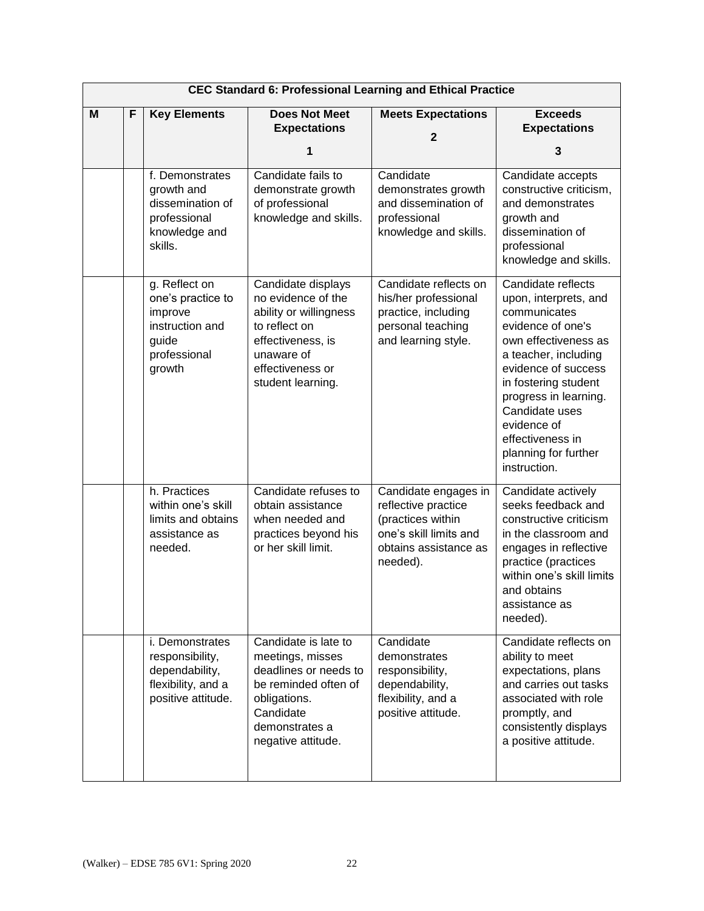|   | <b>CEC Standard 6: Professional Learning and Ethical Practice</b> |                                                                                                         |                                                                                                                                                                 |                                                                                                                                 |                                                                                                                                                                                                                                                                                                       |  |  |  |
|---|-------------------------------------------------------------------|---------------------------------------------------------------------------------------------------------|-----------------------------------------------------------------------------------------------------------------------------------------------------------------|---------------------------------------------------------------------------------------------------------------------------------|-------------------------------------------------------------------------------------------------------------------------------------------------------------------------------------------------------------------------------------------------------------------------------------------------------|--|--|--|
| M | F                                                                 | <b>Key Elements</b>                                                                                     | <b>Does Not Meet</b><br><b>Expectations</b><br>1                                                                                                                | <b>Meets Expectations</b><br>$\overline{\mathbf{2}}$                                                                            | <b>Exceeds</b><br><b>Expectations</b><br>3                                                                                                                                                                                                                                                            |  |  |  |
|   |                                                                   | f. Demonstrates<br>growth and<br>dissemination of<br>professional<br>knowledge and<br>skills.           | Candidate fails to<br>demonstrate growth<br>of professional<br>knowledge and skills.                                                                            | Candidate<br>demonstrates growth<br>and dissemination of<br>professional<br>knowledge and skills.                               | Candidate accepts<br>constructive criticism,<br>and demonstrates<br>growth and<br>dissemination of<br>professional<br>knowledge and skills.                                                                                                                                                           |  |  |  |
|   |                                                                   | g. Reflect on<br>one's practice to<br>improve<br>instruction and<br>guide<br>professional<br>growth     | Candidate displays<br>no evidence of the<br>ability or willingness<br>to reflect on<br>effectiveness, is<br>unaware of<br>effectiveness or<br>student learning. | Candidate reflects on<br>his/her professional<br>practice, including<br>personal teaching<br>and learning style.                | Candidate reflects<br>upon, interprets, and<br>communicates<br>evidence of one's<br>own effectiveness as<br>a teacher, including<br>evidence of success<br>in fostering student<br>progress in learning.<br>Candidate uses<br>evidence of<br>effectiveness in<br>planning for further<br>instruction. |  |  |  |
|   |                                                                   | h. Practices<br>within one's skill<br>limits and obtains<br>assistance as<br>needed.                    | Candidate refuses to<br>obtain assistance<br>when needed and<br>practices beyond his<br>or her skill limit.                                                     | Candidate engages in<br>reflective practice<br>(practices within<br>one's skill limits and<br>obtains assistance as<br>needed). | Candidate actively<br>seeks feedback and<br>constructive criticism<br>in the classroom and<br>engages in reflective<br>practice (practices<br>within one's skill limits<br>and obtains<br>assistance as<br>needed).                                                                                   |  |  |  |
|   |                                                                   | <i>i.</i> Demonstrates<br>responsibility,<br>dependability,<br>flexibility, and a<br>positive attitude. | Candidate is late to<br>meetings, misses<br>deadlines or needs to<br>be reminded often of<br>obligations.<br>Candidate<br>demonstrates a<br>negative attitude.  | Candidate<br>demonstrates<br>responsibility,<br>dependability,<br>flexibility, and a<br>positive attitude.                      | Candidate reflects on<br>ability to meet<br>expectations, plans<br>and carries out tasks<br>associated with role<br>promptly, and<br>consistently displays<br>a positive attitude.                                                                                                                    |  |  |  |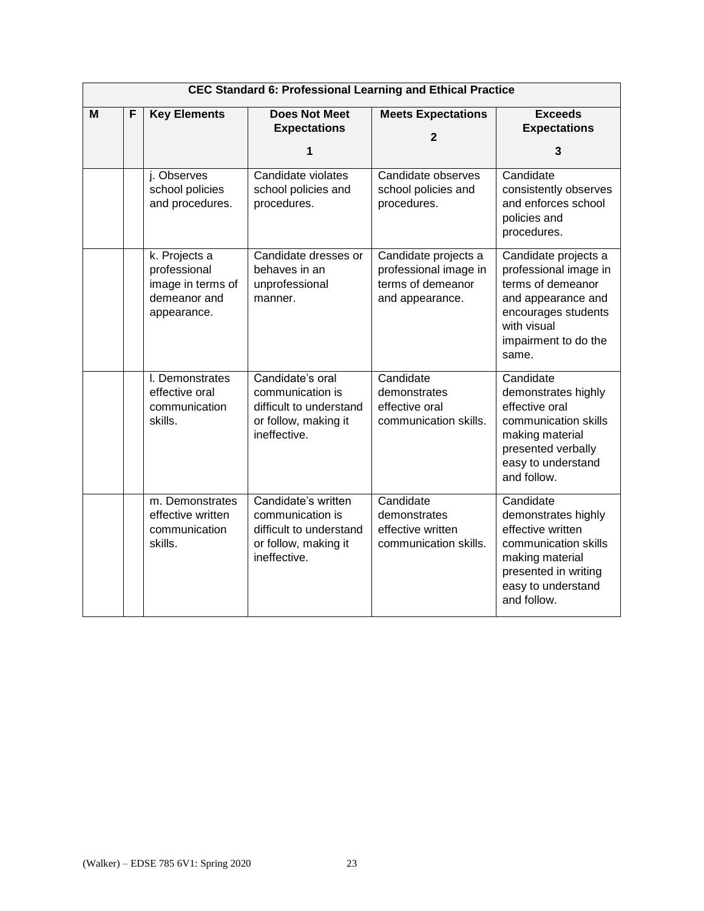|   | <b>CEC Standard 6: Professional Learning and Ethical Practice</b> |                                                                                   |                                                                                                            |                                                                                       |                                                                                                                                                                 |  |  |  |
|---|-------------------------------------------------------------------|-----------------------------------------------------------------------------------|------------------------------------------------------------------------------------------------------------|---------------------------------------------------------------------------------------|-----------------------------------------------------------------------------------------------------------------------------------------------------------------|--|--|--|
| M | F                                                                 | <b>Key Elements</b>                                                               | <b>Does Not Meet</b><br><b>Expectations</b><br>1                                                           | <b>Meets Expectations</b><br>$\mathbf{2}$                                             | <b>Exceeds</b><br><b>Expectations</b><br>3                                                                                                                      |  |  |  |
|   |                                                                   | j. Observes<br>school policies<br>and procedures.                                 | Candidate violates<br>school policies and<br>procedures.                                                   | Candidate observes<br>school policies and<br>procedures.                              | Candidate<br>consistently observes<br>and enforces school<br>policies and<br>procedures.                                                                        |  |  |  |
|   |                                                                   | k. Projects a<br>professional<br>image in terms of<br>demeanor and<br>appearance. | Candidate dresses or<br>behaves in an<br>unprofessional<br>manner.                                         | Candidate projects a<br>professional image in<br>terms of demeanor<br>and appearance. | Candidate projects a<br>professional image in<br>terms of demeanor<br>and appearance and<br>encourages students<br>with visual<br>impairment to do the<br>same. |  |  |  |
|   |                                                                   | I. Demonstrates<br>effective oral<br>communication<br>skills.                     | Candidate's oral<br>communication is<br>difficult to understand<br>or follow, making it<br>ineffective.    | Candidate<br>demonstrates<br>effective oral<br>communication skills.                  | Candidate<br>demonstrates highly<br>effective oral<br>communication skills<br>making material<br>presented verbally<br>easy to understand<br>and follow.        |  |  |  |
|   |                                                                   | m. Demonstrates<br>effective written<br>communication<br>skills.                  | Candidate's written<br>communication is<br>difficult to understand<br>or follow, making it<br>ineffective. | Candidate<br>demonstrates<br>effective written<br>communication skills.               | Candidate<br>demonstrates highly<br>effective written<br>communication skills<br>making material<br>presented in writing<br>easy to understand<br>and follow.   |  |  |  |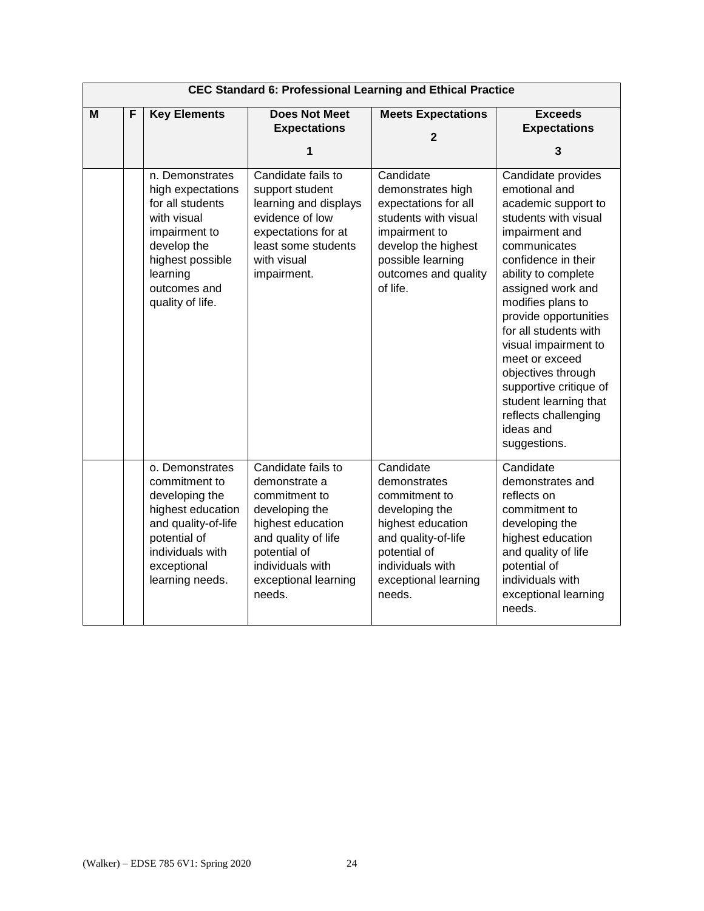|   | <b>CEC Standard 6: Professional Learning and Ethical Practice</b> |                                                                                                                                                                             |                                                                                                                                                                                          |                                                                                                                                                                                 |                                                                                                                                                                                                                                                                                                                                                                                                                                        |  |  |  |
|---|-------------------------------------------------------------------|-----------------------------------------------------------------------------------------------------------------------------------------------------------------------------|------------------------------------------------------------------------------------------------------------------------------------------------------------------------------------------|---------------------------------------------------------------------------------------------------------------------------------------------------------------------------------|----------------------------------------------------------------------------------------------------------------------------------------------------------------------------------------------------------------------------------------------------------------------------------------------------------------------------------------------------------------------------------------------------------------------------------------|--|--|--|
| M | F                                                                 | <b>Key Elements</b>                                                                                                                                                         | <b>Does Not Meet</b><br><b>Expectations</b><br>1                                                                                                                                         | <b>Meets Expectations</b><br>$\overline{2}$                                                                                                                                     | <b>Exceeds</b><br><b>Expectations</b><br>3                                                                                                                                                                                                                                                                                                                                                                                             |  |  |  |
|   |                                                                   | n. Demonstrates<br>high expectations<br>for all students<br>with visual<br>impairment to<br>develop the<br>highest possible<br>learning<br>outcomes and<br>quality of life. | Candidate fails to<br>support student<br>learning and displays<br>evidence of low<br>expectations for at<br>least some students<br>with visual<br>impairment.                            | Candidate<br>demonstrates high<br>expectations for all<br>students with visual<br>impairment to<br>develop the highest<br>possible learning<br>outcomes and quality<br>of life. | Candidate provides<br>emotional and<br>academic support to<br>students with visual<br>impairment and<br>communicates<br>confidence in their<br>ability to complete<br>assigned work and<br>modifies plans to<br>provide opportunities<br>for all students with<br>visual impairment to<br>meet or exceed<br>objectives through<br>supportive critique of<br>student learning that<br>reflects challenging<br>ideas and<br>suggestions. |  |  |  |
|   |                                                                   | o. Demonstrates<br>commitment to<br>developing the<br>highest education<br>and quality-of-life<br>potential of<br>individuals with<br>exceptional<br>learning needs.        | Candidate fails to<br>demonstrate a<br>commitment to<br>developing the<br>highest education<br>and quality of life<br>potential of<br>individuals with<br>exceptional learning<br>needs. | Candidate<br>demonstrates<br>commitment to<br>developing the<br>highest education<br>and quality-of-life<br>potential of<br>individuals with<br>exceptional learning<br>needs.  | Candidate<br>demonstrates and<br>reflects on<br>commitment to<br>developing the<br>highest education<br>and quality of life<br>potential of<br>individuals with<br>exceptional learning<br>needs.                                                                                                                                                                                                                                      |  |  |  |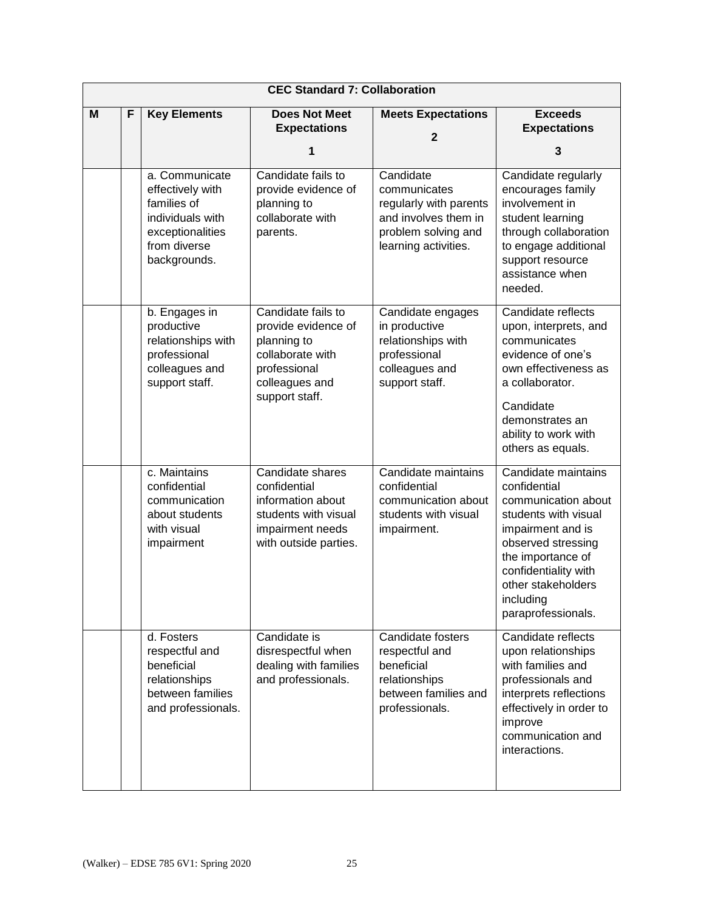|   | <b>CEC Standard 7: Collaboration</b> |                                                                                                                           |                                                                                                                                  |                                                                                                                            |                                                                                                                                                                                                                                     |  |  |
|---|--------------------------------------|---------------------------------------------------------------------------------------------------------------------------|----------------------------------------------------------------------------------------------------------------------------------|----------------------------------------------------------------------------------------------------------------------------|-------------------------------------------------------------------------------------------------------------------------------------------------------------------------------------------------------------------------------------|--|--|
| M | F                                    | <b>Key Elements</b>                                                                                                       | <b>Does Not Meet</b><br><b>Expectations</b><br>1                                                                                 | <b>Meets Expectations</b><br>$\overline{2}$                                                                                | <b>Exceeds</b><br><b>Expectations</b><br>3                                                                                                                                                                                          |  |  |
|   |                                      | a. Communicate<br>effectively with<br>families of<br>individuals with<br>exceptionalities<br>from diverse<br>backgrounds. | Candidate fails to<br>provide evidence of<br>planning to<br>collaborate with<br>parents.                                         | Candidate<br>communicates<br>regularly with parents<br>and involves them in<br>problem solving and<br>learning activities. | Candidate regularly<br>encourages family<br>involvement in<br>student learning<br>through collaboration<br>to engage additional<br>support resource<br>assistance when<br>needed.                                                   |  |  |
|   |                                      | b. Engages in<br>productive<br>relationships with<br>professional<br>colleagues and<br>support staff.                     | Candidate fails to<br>provide evidence of<br>planning to<br>collaborate with<br>professional<br>colleagues and<br>support staff. | Candidate engages<br>in productive<br>relationships with<br>professional<br>colleagues and<br>support staff.               | Candidate reflects<br>upon, interprets, and<br>communicates<br>evidence of one's<br>own effectiveness as<br>a collaborator.<br>Candidate<br>demonstrates an<br>ability to work with<br>others as equals.                            |  |  |
|   |                                      | c. Maintains<br>confidential<br>communication<br>about students<br>with visual<br>impairment                              | Candidate shares<br>confidential<br>information about<br>students with visual<br>impairment needs<br>with outside parties.       | Candidate maintains<br>confidential<br>communication about<br>students with visual<br>impairment.                          | Candidate maintains<br>confidential<br>communication about<br>students with visual<br>impairment and is<br>observed stressing<br>the importance of<br>confidentiality with<br>other stakeholders<br>including<br>paraprofessionals. |  |  |
|   |                                      | d. Fosters<br>respectful and<br>beneficial<br>relationships<br>between families<br>and professionals.                     | Candidate is<br>disrespectful when<br>dealing with families<br>and professionals.                                                | Candidate fosters<br>respectful and<br>beneficial<br>relationships<br>between families and<br>professionals.               | Candidate reflects<br>upon relationships<br>with families and<br>professionals and<br>interprets reflections<br>effectively in order to<br>improve<br>communication and<br>interactions.                                            |  |  |